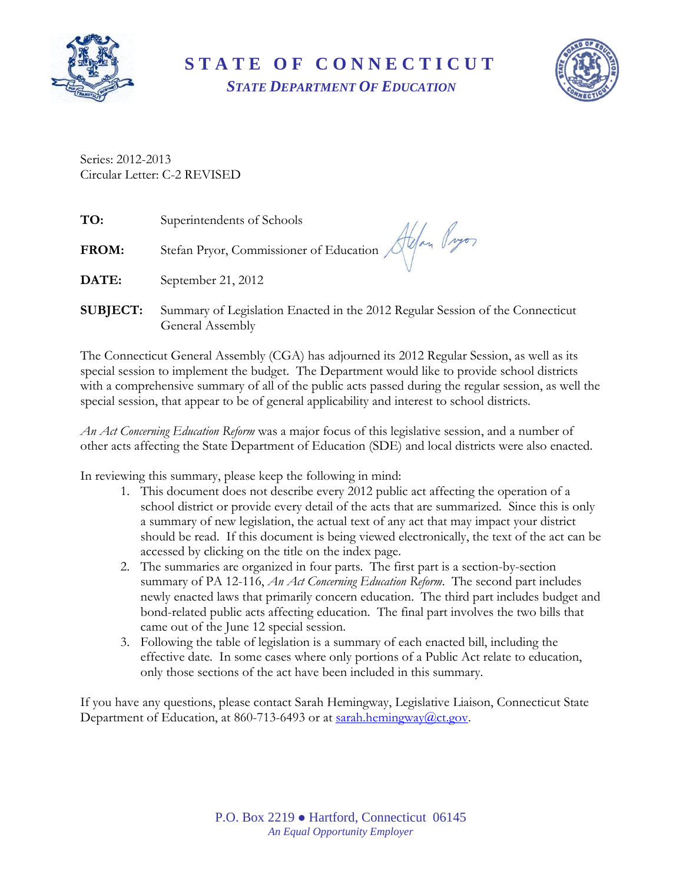

**S T A T E O F C O N N E C T I C U T** *STATE DEPARTMENT OF EDUCATION*



Series: 2012-2013 Circular Letter: C-2 REVISED

| TO:             | Superintendents of Schools                                                                        |
|-----------------|---------------------------------------------------------------------------------------------------|
| <b>FROM:</b>    | Stefan Pryor, Commissioner of Education Alfan Pryor                                               |
| <b>DATE:</b>    | September 21, 2012                                                                                |
| <b>SUBJECT:</b> | Summary of Legislation Enacted in the 2012 Regular Session of the Connecticut<br>General Assembly |

The Connecticut General Assembly (CGA) has adjourned its 2012 Regular Session, as well as its special session to implement the budget. The Department would like to provide school districts with a comprehensive summary of all of the public acts passed during the regular session, as well the special session, that appear to be of general applicability and interest to school districts.

*An Act Concerning Education Reform* was a major focus of this legislative session, and a number of other acts affecting the State Department of Education (SDE) and local districts were also enacted.

In reviewing this summary, please keep the following in mind:

- 1. This document does not describe every 2012 public act affecting the operation of a school district or provide every detail of the acts that are summarized. Since this is only a summary of new legislation, the actual text of any act that may impact your district should be read. If this document is being viewed electronically, the text of the act can be accessed by clicking on the title on the index page.
- 2. The summaries are organized in four parts. The first part is a section-by-section summary of PA 12-116, *An Act Concerning Education Reform*. The second part includes newly enacted laws that primarily concern education. The third part includes budget and bond-related public acts affecting education. The final part involves the two bills that came out of the June 12 special session.
- 3. Following the table of legislation is a summary of each enacted bill, including the effective date. In some cases where only portions of a Public Act relate to education, only those sections of the act have been included in this summary.

If you have any questions, please contact Sarah Hemingway, Legislative Liaison, Connecticut State Department of Education, at 860-713-6493 or at [sarah.hemingway@ct.gov.](mailto:sarah.hemingway@ct.gov)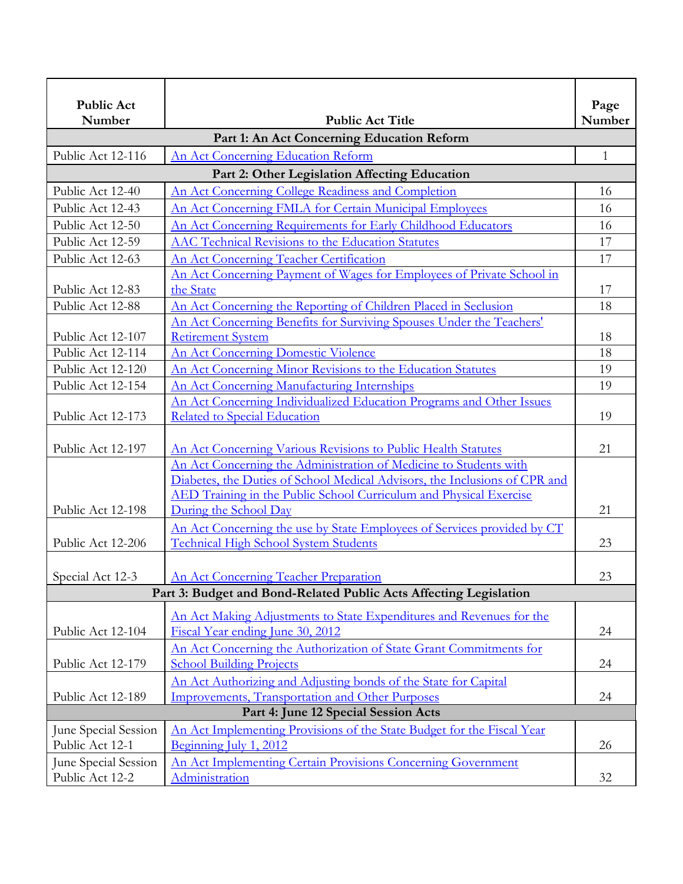| <b>Public Act</b><br>Number          | <b>Public Act Title</b>                                                                                  | Page<br>Number |
|--------------------------------------|----------------------------------------------------------------------------------------------------------|----------------|
|                                      | Part 1: An Act Concerning Education Reform                                                               |                |
| Public Act 12-116                    | An Act Concerning Education Reform                                                                       | $\mathbf{1}$   |
|                                      | Part 2: Other Legislation Affecting Education                                                            |                |
| Public Act 12-40                     | An Act Concerning College Readiness and Completion                                                       | 16             |
| Public Act 12-43                     | An Act Concerning FMLA for Certain Municipal Employees                                                   | 16             |
| Public Act 12-50                     | An Act Concerning Requirements for Early Childhood Educators                                             | 16             |
| Public Act 12-59                     | AAC Technical Revisions to the Education Statutes                                                        | 17             |
| Public Act 12-63                     | An Act Concerning Teacher Certification                                                                  | 17             |
|                                      | An Act Concerning Payment of Wages for Employees of Private School in                                    |                |
| Public Act 12-83                     | the State                                                                                                | 17             |
| Public Act 12-88                     | An Act Concerning the Reporting of Children Placed in Seclusion                                          | 18             |
|                                      | An Act Concerning Benefits for Surviving Spouses Under the Teachers'                                     |                |
| Public Act 12-107                    | <b>Retirement System</b>                                                                                 | 18             |
| Public Act 12-114                    | <b>An Act Concerning Domestic Violence</b>                                                               | 18             |
| Public Act 12-120                    | An Act Concerning Minor Revisions to the Education Statutes                                              | 19             |
| Public Act 12-154                    | <b>An Act Concerning Manufacturing Internships</b>                                                       | 19             |
|                                      | An Act Concerning Individualized Education Programs and Other Issues                                     |                |
| Public Act 12-173                    | Related to Special Education                                                                             | 19             |
| Public Act 12-197                    | An Act Concerning Various Revisions to Public Health Statutes                                            | 21             |
|                                      | An Act Concerning the Administration of Medicine to Students with                                        |                |
|                                      | Diabetes, the Duties of School Medical Advisors, the Inclusions of CPR and                               |                |
|                                      | AED Training in the Public School Curriculum and Physical Exercise                                       |                |
| Public Act 12-198                    | During the School Day                                                                                    | 21             |
|                                      | An Act Concerning the use by State Employees of Services provided by CT                                  |                |
| Public Act 12-206                    | <b>Technical High School System Students</b>                                                             | 23             |
| Special Act 12-3                     | <b>An Act Concerning Teacher Preparation</b>                                                             | 23             |
|                                      | Part 3: Budget and Bond-Related Public Acts Affecting Legislation                                        |                |
|                                      |                                                                                                          |                |
| Public Act 12-104                    | An Act Making Adjustments to State Expenditures and Revenues for the<br>Fiscal Year ending June 30, 2012 | 24             |
|                                      |                                                                                                          |                |
| Public Act 12-179                    | An Act Concerning the Authorization of State Grant Commitments for<br><b>School Building Projects</b>    | 24             |
|                                      | An Act Authorizing and Adjusting bonds of the State for Capital                                          |                |
| Public Act 12-189                    | Improvements, Transportation and Other Purposes                                                          | 24             |
| Part 4: June 12 Special Session Acts |                                                                                                          |                |
| June Special Session                 | <u>An Act Implementing Provisions of the State Budget for the Fiscal Year</u>                            |                |
| Public Act 12-1                      | Beginning July 1, 2012                                                                                   | 26             |
| June Special Session                 | <b>An Act Implementing Certain Provisions Concerning Government</b>                                      |                |
| Public Act 12-2                      | Administration                                                                                           | 32             |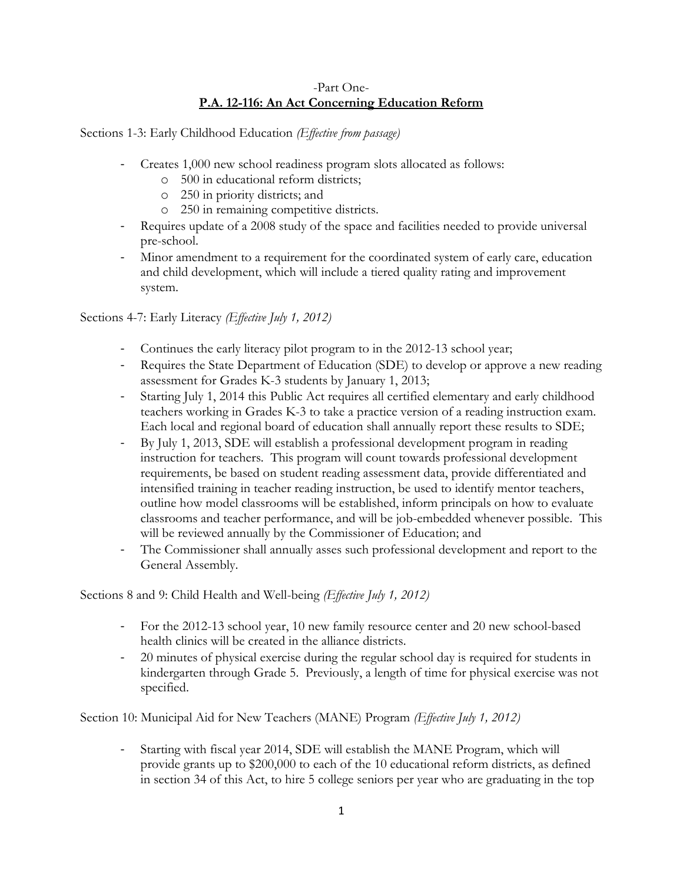#### -Part One-**P.A. 12-116: An Act Concerning Education Reform**

Sections 1-3: Early Childhood Education *(Effective from passage)*

- Creates 1,000 new school readiness program slots allocated as follows:
	- o 500 in educational reform districts;
	- o 250 in priority districts; and
	- o 250 in remaining competitive districts.
- Requires update of a 2008 study of the space and facilities needed to provide universal pre-school.
- Minor amendment to a requirement for the coordinated system of early care, education and child development, which will include a tiered quality rating and improvement system.

Sections 4-7: Early Literacy *(Effective July 1, 2012)*

- Continues the early literacy pilot program to in the 2012-13 school year;
- Requires the State Department of Education (SDE) to develop or approve a new reading assessment for Grades K-3 students by January 1, 2013;
- Starting July 1, 2014 this Public Act requires all certified elementary and early childhood teachers working in Grades K-3 to take a practice version of a reading instruction exam. Each local and regional board of education shall annually report these results to SDE;
- By July 1, 2013, SDE will establish a professional development program in reading instruction for teachers. This program will count towards professional development requirements, be based on student reading assessment data, provide differentiated and intensified training in teacher reading instruction, be used to identify mentor teachers, outline how model classrooms will be established, inform principals on how to evaluate classrooms and teacher performance, and will be job-embedded whenever possible. This will be reviewed annually by the Commissioner of Education; and
- The Commissioner shall annually asses such professional development and report to the General Assembly.

Sections 8 and 9: Child Health and Well-being *(Effective July 1, 2012)*

- For the 2012-13 school year, 10 new family resource center and 20 new school-based health clinics will be created in the alliance districts.
- 20 minutes of physical exercise during the regular school day is required for students in kindergarten through Grade 5. Previously, a length of time for physical exercise was not specified.

Section 10: Municipal Aid for New Teachers (MANE) Program *(Effective July 1, 2012)*

- Starting with fiscal year 2014, SDE will establish the MANE Program, which will provide grants up to \$200,000 to each of the 10 educational reform districts, as defined in section 34 of this Act, to hire 5 college seniors per year who are graduating in the top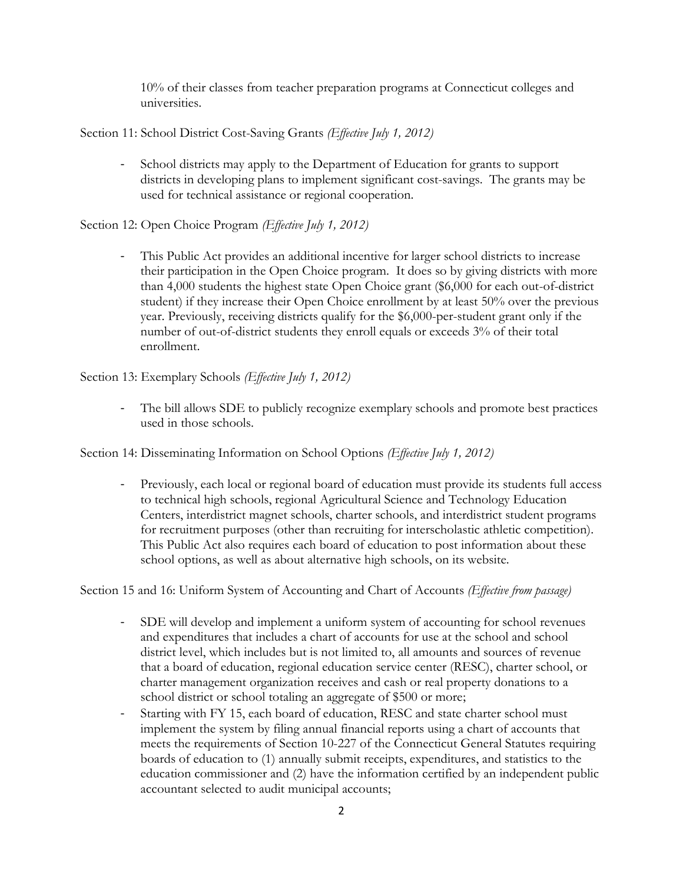10% of their classes from teacher preparation programs at Connecticut colleges and universities.

Section 11: School District Cost-Saving Grants *(Effective July 1, 2012)*

- School districts may apply to the Department of Education for grants to support districts in developing plans to implement significant cost-savings. The grants may be used for technical assistance or regional cooperation.

Section 12: Open Choice Program *(Effective July 1, 2012)*

- This Public Act provides an additional incentive for larger school districts to increase their participation in the Open Choice program. It does so by giving districts with more than 4,000 students the highest state Open Choice grant (\$6,000 for each out-of-district student) if they increase their Open Choice enrollment by at least 50% over the previous year. Previously, receiving districts qualify for the \$6,000-per-student grant only if the number of out-of-district students they enroll equals or exceeds 3% of their total enrollment.

Section 13: Exemplary Schools *(Effective July 1, 2012)*

- The bill allows SDE to publicly recognize exemplary schools and promote best practices used in those schools.

Section 14: Disseminating Information on School Options *(Effective July 1, 2012)*

- Previously, each local or regional board of education must provide its students full access to technical high schools, regional Agricultural Science and Technology Education Centers, interdistrict magnet schools, charter schools, and interdistrict student programs for recruitment purposes (other than recruiting for interscholastic athletic competition). This Public Act also requires each board of education to post information about these school options, as well as about alternative high schools, on its website.

Section 15 and 16: Uniform System of Accounting and Chart of Accounts *(Effective from passage)*

- SDE will develop and implement a uniform system of accounting for school revenues and expenditures that includes a chart of accounts for use at the school and school district level, which includes but is not limited to, all amounts and sources of revenue that a board of education, regional education service center (RESC), charter school, or charter management organization receives and cash or real property donations to a school district or school totaling an aggregate of \$500 or more;
- Starting with FY 15, each board of education, RESC and state charter school must implement the system by filing annual financial reports using a chart of accounts that meets the requirements of Section 10-227 of the Connecticut General Statutes requiring boards of education to (1) annually submit receipts, expenditures, and statistics to the education commissioner and (2) have the information certified by an independent public accountant selected to audit municipal accounts;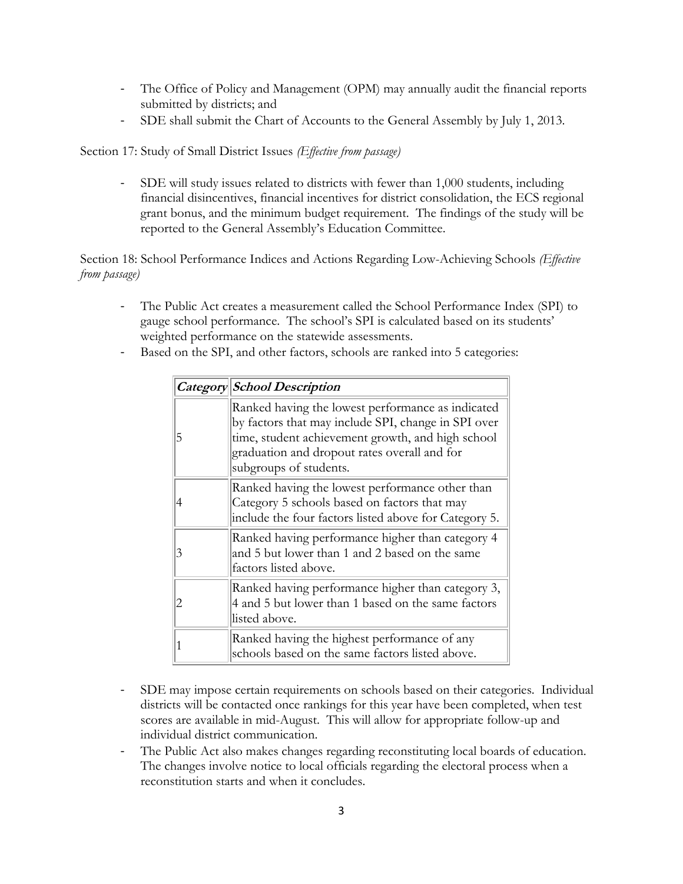- The Office of Policy and Management (OPM) may annually audit the financial reports submitted by districts; and
- SDE shall submit the Chart of Accounts to the General Assembly by July 1, 2013.

Section 17: Study of Small District Issues *(Effective from passage)*

- SDE will study issues related to districts with fewer than 1,000 students, including financial disincentives, financial incentives for district consolidation, the ECS regional grant bonus, and the minimum budget requirement. The findings of the study will be reported to the General Assembly's Education Committee.

Section 18: School Performance Indices and Actions Regarding Low-Achieving Schools *(Effective from passage)*

- The Public Act creates a measurement called the School Performance Index (SPI) to gauge school performance. The school's SPI is calculated based on its students' weighted performance on the statewide assessments.
- Based on the SPI, and other factors, schools are ranked into 5 categories:

|   | Category School Description                                                                                                                                                                                                             |  |
|---|-----------------------------------------------------------------------------------------------------------------------------------------------------------------------------------------------------------------------------------------|--|
| 5 | Ranked having the lowest performance as indicated<br>by factors that may include SPI, change in SPI over<br>time, student achievement growth, and high school<br>graduation and dropout rates overall and for<br>subgroups of students. |  |
|   | Ranked having the lowest performance other than<br>Category 5 schools based on factors that may<br>include the four factors listed above for Category 5.                                                                                |  |
| 3 | Ranked having performance higher than category 4<br>and 5 but lower than 1 and 2 based on the same<br>factors listed above.                                                                                                             |  |
|   | Ranked having performance higher than category 3,<br>4 and 5 but lower than 1 based on the same factors<br>listed above.                                                                                                                |  |
|   | Ranked having the highest performance of any<br>schools based on the same factors listed above.                                                                                                                                         |  |

- SDE may impose certain requirements on schools based on their categories. Individual districts will be contacted once rankings for this year have been completed, when test scores are available in mid-August. This will allow for appropriate follow-up and individual district communication.
- The Public Act also makes changes regarding reconstituting local boards of education. The changes involve notice to local officials regarding the electoral process when a reconstitution starts and when it concludes.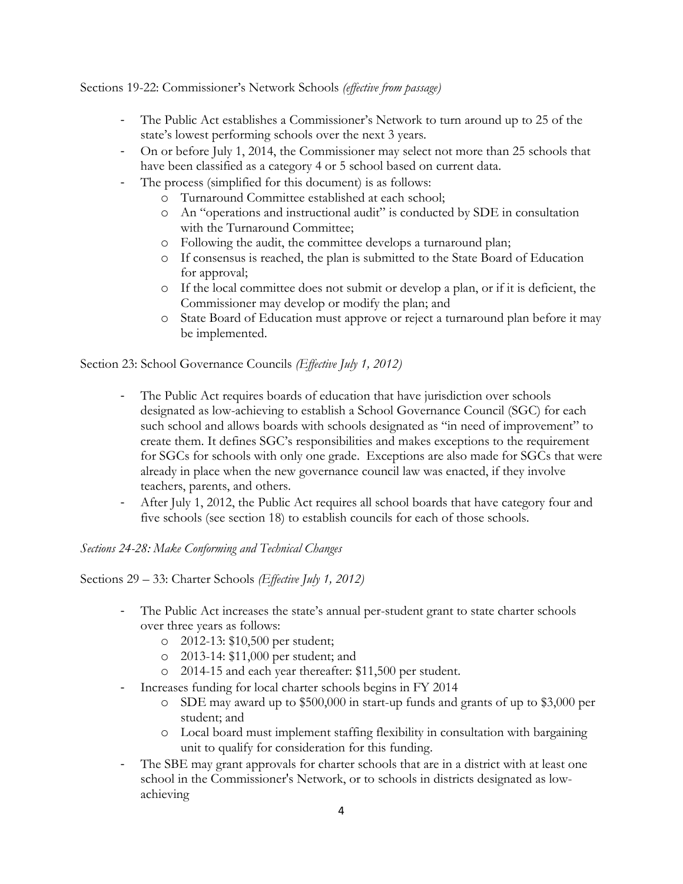Sections 19-22: Commissioner's Network Schools *(effective from passage)*

- The Public Act establishes a Commissioner's Network to turn around up to 25 of the state's lowest performing schools over the next 3 years.
- On or before July 1, 2014, the Commissioner may select not more than 25 schools that have been classified as a category 4 or 5 school based on current data.
- The process (simplified for this document) is as follows:
	- o Turnaround Committee established at each school;
		- o An "operations and instructional audit" is conducted by SDE in consultation with the Turnaround Committee;
		- o Following the audit, the committee develops a turnaround plan;
		- o If consensus is reached, the plan is submitted to the State Board of Education for approval;
		- o If the local committee does not submit or develop a plan, or if it is deficient, the Commissioner may develop or modify the plan; and
		- o State Board of Education must approve or reject a turnaround plan before it may be implemented.

Section 23: School Governance Councils *(Effective July 1, 2012)*

- The Public Act requires boards of education that have jurisdiction over schools designated as low-achieving to establish a School Governance Council (SGC) for each such school and allows boards with schools designated as "in need of improvement" to create them. It defines SGC's responsibilities and makes exceptions to the requirement for SGCs for schools with only one grade. Exceptions are also made for SGCs that were already in place when the new governance council law was enacted, if they involve teachers, parents, and others.
- After July 1, 2012, the Public Act requires all school boards that have category four and five schools (see section 18) to establish councils for each of those schools.

*Sections 24-28: Make Conforming and Technical Changes*

Sections 29 – 33: Charter Schools *(Effective July 1, 2012)*

- The Public Act increases the state's annual per-student grant to state charter schools over three years as follows:
	- o 2012-13: \$10,500 per student;
	- o 2013-14: \$11,000 per student; and
	- o 2014-15 and each year thereafter: \$11,500 per student.
- Increases funding for local charter schools begins in FY 2014
	- o SDE may award up to \$500,000 in start-up funds and grants of up to \$3,000 per student; and
	- o Local board must implement staffing flexibility in consultation with bargaining unit to qualify for consideration for this funding.
- The SBE may grant approvals for charter schools that are in a district with at least one school in the Commissioner's Network, or to schools in districts designated as lowachieving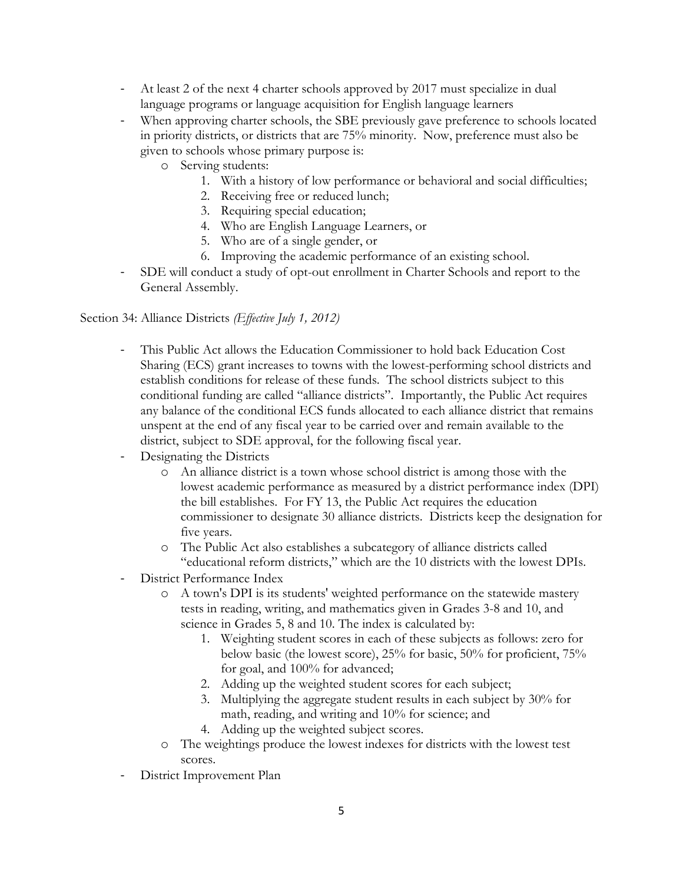- At least 2 of the next 4 charter schools approved by 2017 must specialize in dual language programs or language acquisition for English language learners
- When approving charter schools, the SBE previously gave preference to schools located in priority districts, or districts that are 75% minority. Now, preference must also be given to schools whose primary purpose is:
	- o Serving students:
		- 1. With a history of low performance or behavioral and social difficulties;
		- 2. Receiving free or reduced lunch;
		- 3. Requiring special education;
		- 4. Who are English Language Learners, or
		- 5. Who are of a single gender, or
		- 6. Improving the academic performance of an existing school.
- SDE will conduct a study of opt-out enrollment in Charter Schools and report to the General Assembly.

#### Section 34: Alliance Districts *(Effective July 1, 2012)*

- This Public Act allows the Education Commissioner to hold back Education Cost Sharing (ECS) grant increases to towns with the lowest-performing school districts and establish conditions for release of these funds. The school districts subject to this conditional funding are called "alliance districts". Importantly, the Public Act requires any balance of the conditional ECS funds allocated to each alliance district that remains unspent at the end of any fiscal year to be carried over and remain available to the district, subject to SDE approval, for the following fiscal year.
- Designating the Districts
	- o An alliance district is a town whose school district is among those with the lowest academic performance as measured by a district performance index (DPI) the bill establishes. For FY 13, the Public Act requires the education commissioner to designate 30 alliance districts. Districts keep the designation for five years.
	- o The Public Act also establishes a subcategory of alliance districts called "educational reform districts," which are the 10 districts with the lowest DPIs.
- District Performance Index
	- o A town's DPI is its students' weighted performance on the statewide mastery tests in reading, writing, and mathematics given in Grades 3-8 and 10, and science in Grades 5, 8 and 10. The index is calculated by:
		- 1. Weighting student scores in each of these subjects as follows: zero for below basic (the lowest score), 25% for basic, 50% for proficient, 75% for goal, and 100% for advanced;
		- 2. Adding up the weighted student scores for each subject;
		- 3. Multiplying the aggregate student results in each subject by 30% for math, reading, and writing and 10% for science; and
		- 4. Adding up the weighted subject scores.
	- o The weightings produce the lowest indexes for districts with the lowest test scores.
- District Improvement Plan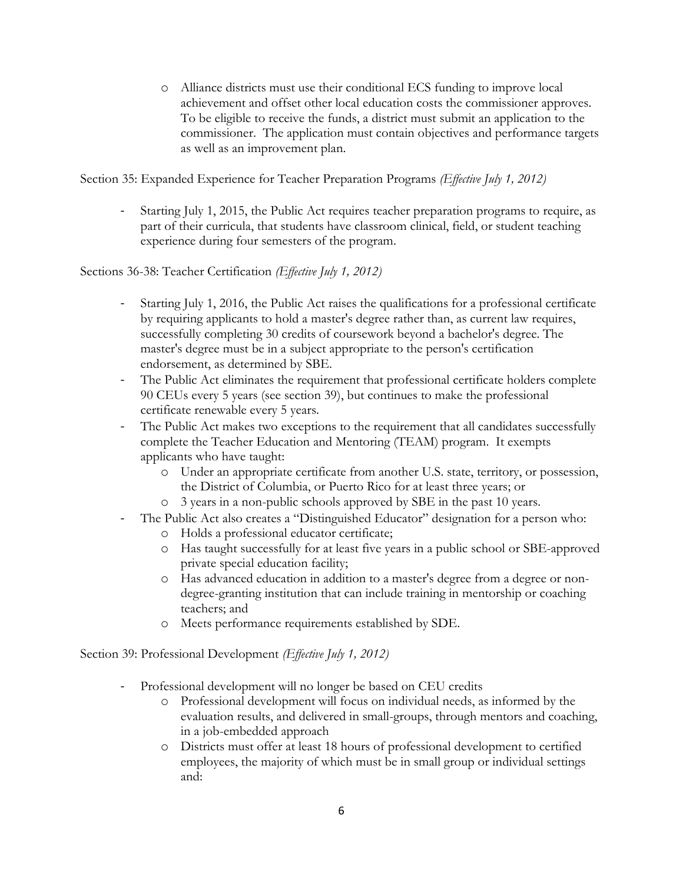o Alliance districts must use their conditional ECS funding to improve local achievement and offset other local education costs the commissioner approves. To be eligible to receive the funds, a district must submit an application to the commissioner. The application must contain objectives and performance targets as well as an improvement plan.

Section 35: Expanded Experience for Teacher Preparation Programs *(Effective July 1, 2012)*

- Starting July 1, 2015, the Public Act requires teacher preparation programs to require, as part of their curricula, that students have classroom clinical, field, or student teaching experience during four semesters of the program.

Sections 36-38: Teacher Certification *(Effective July 1, 2012)*

- Starting July 1, 2016, the Public Act raises the qualifications for a professional certificate by requiring applicants to hold a master's degree rather than, as current law requires, successfully completing 30 credits of coursework beyond a bachelor's degree. The master's degree must be in a subject appropriate to the person's certification endorsement, as determined by SBE.
- The Public Act eliminates the requirement that professional certificate holders complete 90 CEUs every 5 years (see section 39), but continues to make the professional certificate renewable every 5 years.
- The Public Act makes two exceptions to the requirement that all candidates successfully complete the Teacher Education and Mentoring (TEAM) program. It exempts applicants who have taught:
	- o Under an appropriate certificate from another U.S. state, territory, or possession, the District of Columbia, or Puerto Rico for at least three years; or
	- o 3 years in a non-public schools approved by SBE in the past 10 years.
- The Public Act also creates a "Distinguished Educator" designation for a person who:
	- o Holds a professional educator certificate;
	- o Has taught successfully for at least five years in a public school or SBE-approved private special education facility;
	- o Has advanced education in addition to a master's degree from a degree or nondegree-granting institution that can include training in mentorship or coaching teachers; and
	- o Meets performance requirements established by SDE.

Section 39: Professional Development *(Effective July 1, 2012)*

- Professional development will no longer be based on CEU credits
	- o Professional development will focus on individual needs, as informed by the evaluation results, and delivered in small-groups, through mentors and coaching, in a job-embedded approach
	- o Districts must offer at least 18 hours of professional development to certified employees, the majority of which must be in small group or individual settings and: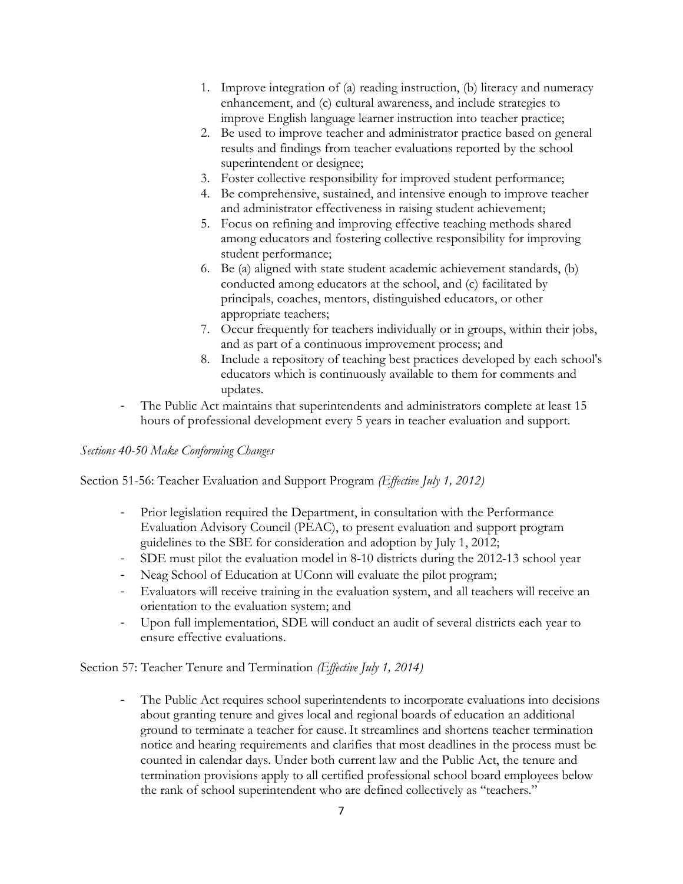- 1. Improve integration of (a) reading instruction, (b) literacy and numeracy enhancement, and (c) cultural awareness, and include strategies to improve English language learner instruction into teacher practice;
- 2. Be used to improve teacher and administrator practice based on general results and findings from teacher evaluations reported by the school superintendent or designee;
- 3. Foster collective responsibility for improved student performance;
- 4. Be comprehensive, sustained, and intensive enough to improve teacher and administrator effectiveness in raising student achievement;
- 5. Focus on refining and improving effective teaching methods shared among educators and fostering collective responsibility for improving student performance;
- 6. Be (a) aligned with state student academic achievement standards, (b) conducted among educators at the school, and (c) facilitated by principals, coaches, mentors, distinguished educators, or other appropriate teachers;
- 7. Occur frequently for teachers individually or in groups, within their jobs, and as part of a continuous improvement process; and
- 8. Include a repository of teaching best practices developed by each school's educators which is continuously available to them for comments and updates.
- The Public Act maintains that superintendents and administrators complete at least 15 hours of professional development every 5 years in teacher evaluation and support.

### *Sections 40-50 Make Conforming Changes*

Section 51-56: Teacher Evaluation and Support Program *(Effective July 1, 2012)*

- Prior legislation required the Department, in consultation with the Performance Evaluation Advisory Council (PEAC), to present evaluation and support program guidelines to the SBE for consideration and adoption by July 1, 2012;
- SDE must pilot the evaluation model in 8-10 districts during the 2012-13 school year
- Neag School of Education at UConn will evaluate the pilot program;
- Evaluators will receive training in the evaluation system, and all teachers will receive an orientation to the evaluation system; and
- Upon full implementation, SDE will conduct an audit of several districts each year to ensure effective evaluations.

Section 57: Teacher Tenure and Termination *(Effective July 1, 2014)*

- The Public Act requires school superintendents to incorporate evaluations into decisions about granting tenure and gives local and regional boards of education an additional ground to terminate a teacher for cause.It streamlines and shortens teacher termination notice and hearing requirements and clarifies that most deadlines in the process must be counted in calendar days. Under both current law and the Public Act, the tenure and termination provisions apply to all certified professional school board employees below the rank of school superintendent who are defined collectively as "teachers."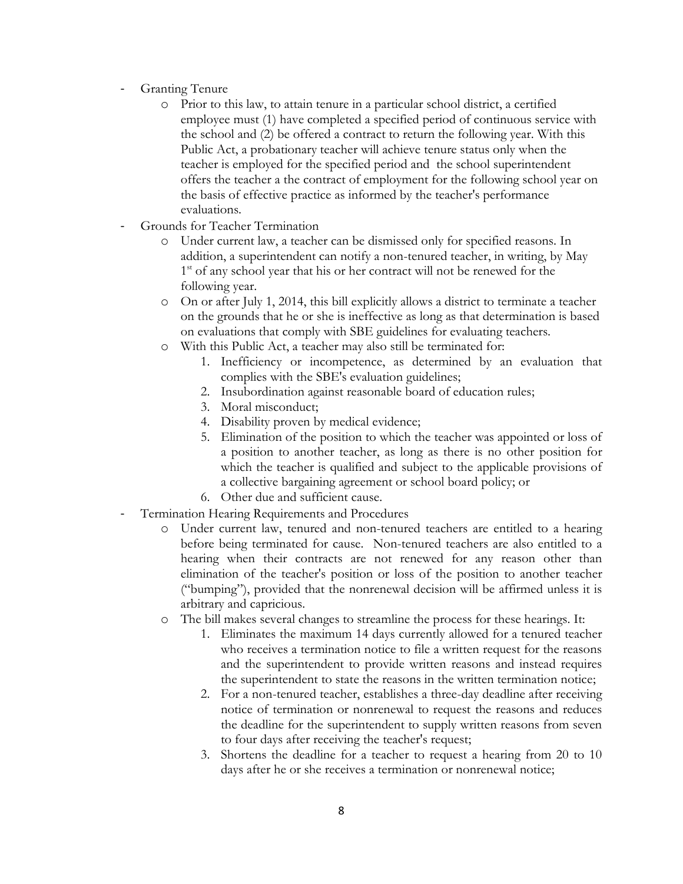- Granting Tenure
	- o Prior to this law, to attain tenure in a particular school district, a certified employee must (1) have completed a specified period of continuous service with the school and (2) be offered a contract to return the following year. With this Public Act, a probationary teacher will achieve tenure status only when the teacher is employed for the specified period and the school superintendent offers the teacher a the contract of employment for the following school year on the basis of effective practice as informed by the teacher's performance evaluations.
- Grounds for Teacher Termination
	- o Under current law, a teacher can be dismissed only for specified reasons. In addition, a superintendent can notify a non-tenured teacher, in writing, by May 1<sup>st</sup> of any school year that his or her contract will not be renewed for the following year.
	- o On or after July 1, 2014, this bill explicitly allows a district to terminate a teacher on the grounds that he or she is ineffective as long as that determination is based on evaluations that comply with SBE guidelines for evaluating teachers.
	- o With this Public Act, a teacher may also still be terminated for:
		- 1. Inefficiency or incompetence, as determined by an evaluation that complies with the SBE's evaluation guidelines;
		- 2. Insubordination against reasonable board of education rules;
		- 3. Moral misconduct;
		- 4. Disability proven by medical evidence;
		- 5. Elimination of the position to which the teacher was appointed or loss of a position to another teacher, as long as there is no other position for which the teacher is qualified and subject to the applicable provisions of a collective bargaining agreement or school board policy; or
		- 6. Other due and sufficient cause.
- Termination Hearing Requirements and Procedures
	- o Under current law, tenured and non-tenured teachers are entitled to a hearing before being terminated for cause. Non-tenured teachers are also entitled to a hearing when their contracts are not renewed for any reason other than elimination of the teacher's position or loss of the position to another teacher ("bumping"), provided that the nonrenewal decision will be affirmed unless it is arbitrary and capricious.
	- o The bill makes several changes to streamline the process for these hearings. It:
		- 1. Eliminates the maximum 14 days currently allowed for a tenured teacher who receives a termination notice to file a written request for the reasons and the superintendent to provide written reasons and instead requires the superintendent to state the reasons in the written termination notice;
		- 2. For a non-tenured teacher, establishes a three-day deadline after receiving notice of termination or nonrenewal to request the reasons and reduces the deadline for the superintendent to supply written reasons from seven to four days after receiving the teacher's request;
		- 3. Shortens the deadline for a teacher to request a hearing from 20 to 10 days after he or she receives a termination or nonrenewal notice;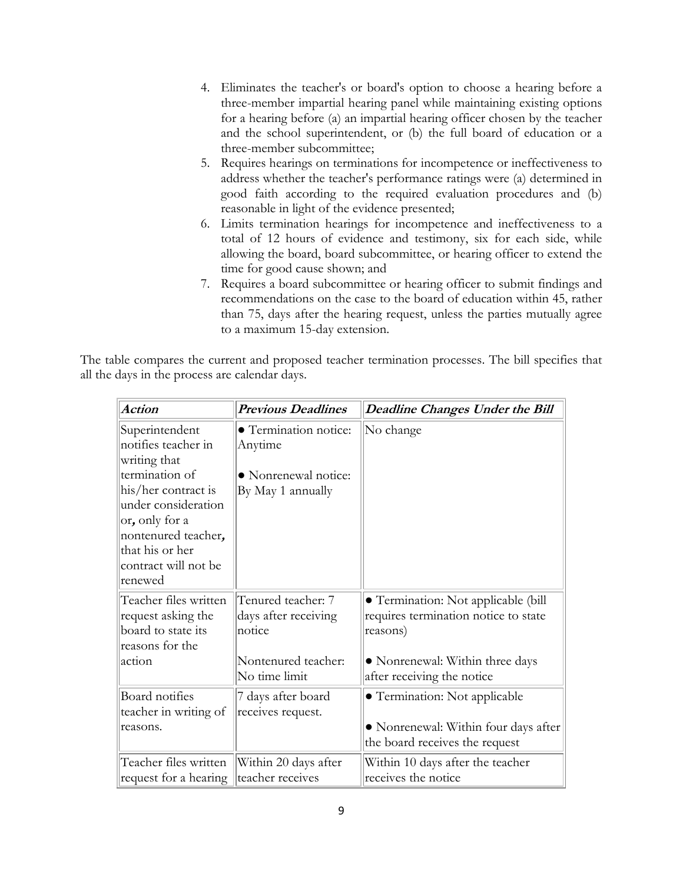- 4. Eliminates the teacher's or board's option to choose a hearing before a three-member impartial hearing panel while maintaining existing options for a hearing before (a) an impartial hearing officer chosen by the teacher and the school superintendent, or (b) the full board of education or a three-member subcommittee;
- 5. Requires hearings on terminations for incompetence or ineffectiveness to address whether the teacher's performance ratings were (a) determined in good faith according to the required evaluation procedures and (b) reasonable in light of the evidence presented;
- 6. Limits termination hearings for incompetence and ineffectiveness to a total of 12 hours of evidence and testimony, six for each side, while allowing the board, board subcommittee, or hearing officer to extend the time for good cause shown; and
- 7. Requires a board subcommittee or hearing officer to submit findings and recommendations on the case to the board of education within 45, rather than 75, days after the hearing request, unless the parties mutually agree to a maximum 15-day extension.

The table compares the current and proposed teacher termination processes. The bill specifies that all the days in the process are calendar days.

| <b>Action</b>                                                                                                                             | <b>Previous Deadlines</b>                            | <b>Deadline Changes Under the Bill</b>                                                                  |
|-------------------------------------------------------------------------------------------------------------------------------------------|------------------------------------------------------|---------------------------------------------------------------------------------------------------------|
| Superintendent<br>notifies teacher in<br>writing that                                                                                     | • Termination notice:<br>Anytime                     | No change                                                                                               |
| termination of                                                                                                                            | • Nonrenewal notice:                                 |                                                                                                         |
| his/her contract is<br>under consideration<br>or, only for a<br>nontenured teacher,<br>that his or her<br>contract will not be<br>renewed | By May 1 annually                                    |                                                                                                         |
| Teacher files written<br>request asking the<br>board to state its<br>reasons for the                                                      | Tenured teacher: 7<br>days after receiving<br>notice | • Termination: Not applicable (bill<br>requires termination notice to state<br>reasons)                 |
| action                                                                                                                                    | Nontenured teacher:<br>No time limit                 | · Nonrenewal: Within three days<br>after receiving the notice                                           |
| <b>Board</b> notifies<br>teacher in writing of<br>reasons.                                                                                | 7 days after board<br>receives request.              | • Termination: Not applicable<br>• Nonrenewal: Within four days after<br>the board receives the request |
| Teacher files written<br>request for a hearing                                                                                            | Within 20 days after<br>teacher receives             | Within 10 days after the teacher<br>receives the notice                                                 |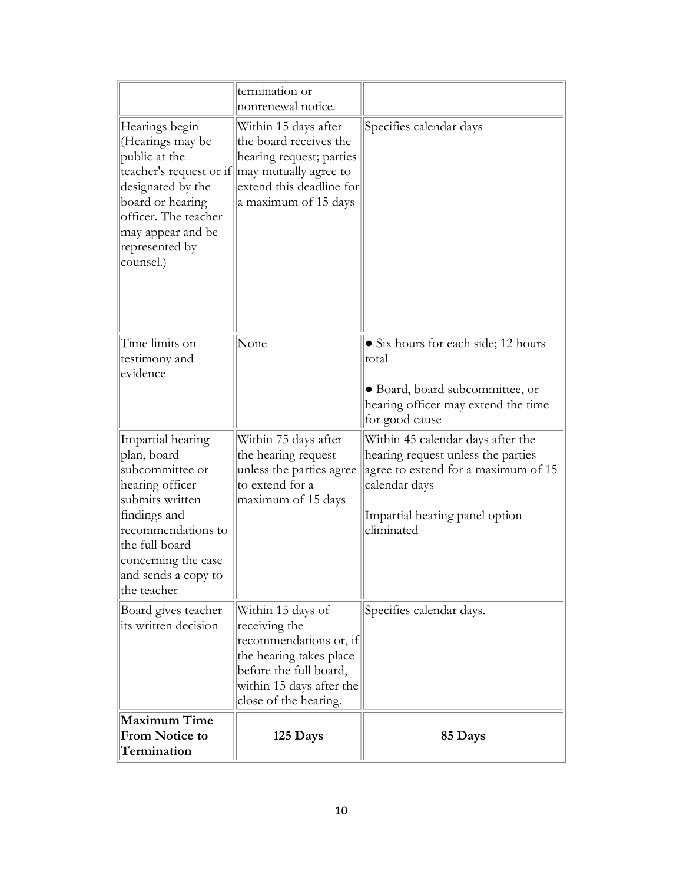|                                                                                                                                                                                                                | termination or<br>nonrenewal notice.                                                                                                                                                        |                                                                                                                                                                                 |
|----------------------------------------------------------------------------------------------------------------------------------------------------------------------------------------------------------------|---------------------------------------------------------------------------------------------------------------------------------------------------------------------------------------------|---------------------------------------------------------------------------------------------------------------------------------------------------------------------------------|
| Hearings begin<br>(Hearings may be<br>public at the<br>designated by the<br>board or hearing<br>officer. The teacher<br>may appear and be<br>represented by<br>counsel.)                                       | Within 15 days after<br>the board receives the<br>hearing request; parties<br>teacher's request or if $\parallel$ may mutually agree to<br>extend this deadline for<br>a maximum of 15 days | Specifies calendar days                                                                                                                                                         |
| Time limits on<br>testimony and<br>evidence                                                                                                                                                                    | None                                                                                                                                                                                        | • Six hours for each side; 12 hours<br>total<br>• Board, board subcommittee, or<br>hearing officer may extend the time<br>for good cause                                        |
| Impartial hearing<br>plan, board<br>subcommittee or<br>hearing officer<br>submits written<br>findings and<br>recommendations to<br>the full board<br>concerning the case<br>and sends a copy to<br>the teacher | Within 75 days after<br>the hearing request<br>unless the parties agree<br>to extend for a<br>maximum of 15 days                                                                            | Within 45 calendar days after the<br>hearing request unless the parties<br>agree to extend for a maximum of 15<br>calendar days<br>Impartial hearing panel option<br>eliminated |
| Board gives teacher<br>its written decision                                                                                                                                                                    | Within 15 days of<br>receiving the<br>recommendations or, if<br>the hearing takes place<br>before the full board,<br>within 15 days after the<br>close of the hearing.                      | Specifies calendar days.                                                                                                                                                        |
| <b>Maximum Time</b><br><b>From Notice to</b><br>Termination                                                                                                                                                    | 125 Days                                                                                                                                                                                    | 85 Days                                                                                                                                                                         |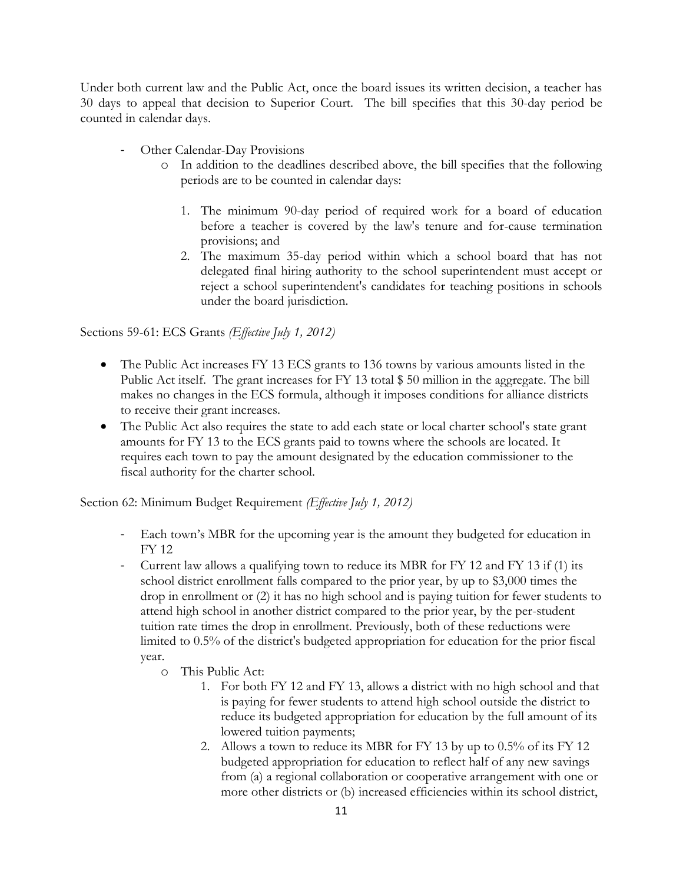Under both current law and the Public Act, once the board issues its written decision, a teacher has 30 days to appeal that decision to Superior Court. The bill specifies that this 30-day period be counted in calendar days.

- Other Calendar-Day Provisions
	- o In addition to the deadlines described above, the bill specifies that the following periods are to be counted in calendar days:
		- 1. The minimum 90-day period of required work for a board of education before a teacher is covered by the law's tenure and for-cause termination provisions; and
		- 2. The maximum 35-day period within which a school board that has not delegated final hiring authority to the school superintendent must accept or reject a school superintendent's candidates for teaching positions in schools under the board jurisdiction.

Sections 59-61: ECS Grants *(Effective July 1, 2012)*

- The Public Act increases FY 13 ECS grants to 136 towns by various amounts listed in the Public Act itself. The grant increases for FY 13 total \$ 50 million in the aggregate. The bill makes no changes in the ECS formula, although it imposes conditions for alliance districts to receive their grant increases.
- The Public Act also requires the state to add each state or local charter school's state grant amounts for FY 13 to the ECS grants paid to towns where the schools are located. It requires each town to pay the amount designated by the education commissioner to the fiscal authority for the charter school.

Section 62: Minimum Budget Requirement *(Effective July 1, 2012)*

- Each town's MBR for the upcoming year is the amount they budgeted for education in FY 12
- Current law allows a qualifying town to reduce its MBR for FY 12 and FY 13 if (1) its school district enrollment falls compared to the prior year, by up to \$3,000 times the drop in enrollment or (2) it has no high school and is paying tuition for fewer students to attend high school in another district compared to the prior year, by the per-student tuition rate times the drop in enrollment. Previously, both of these reductions were limited to 0.5% of the district's budgeted appropriation for education for the prior fiscal year.
	- o This Public Act:
		- 1. For both FY 12 and FY 13, allows a district with no high school and that is paying for fewer students to attend high school outside the district to reduce its budgeted appropriation for education by the full amount of its lowered tuition payments;
		- 2. Allows a town to reduce its MBR for FY 13 by up to 0.5% of its FY 12 budgeted appropriation for education to reflect half of any new savings from (a) a regional collaboration or cooperative arrangement with one or more other districts or (b) increased efficiencies within its school district,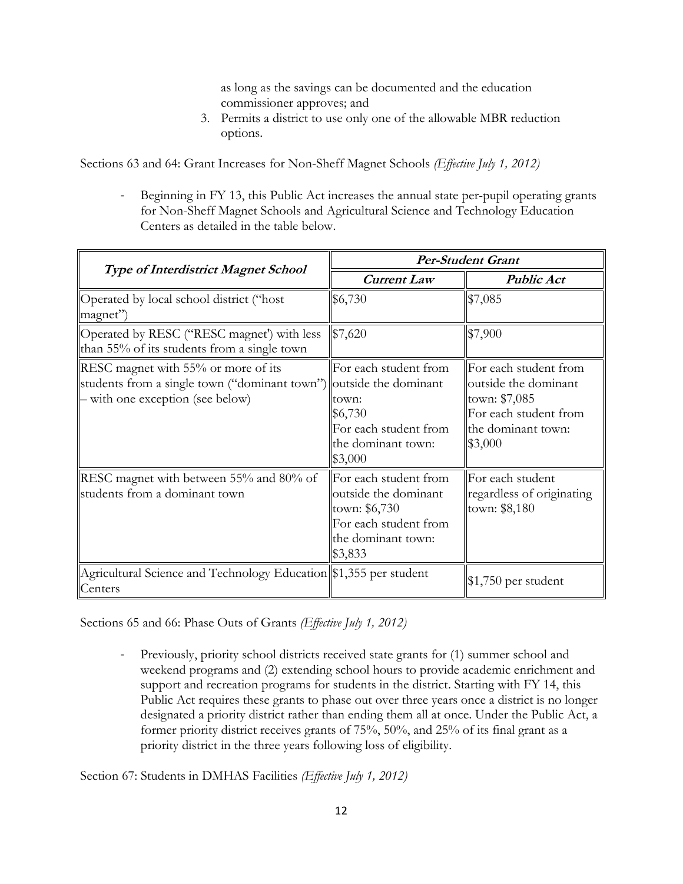as long as the savings can be documented and the education commissioner approves; and

3. Permits a district to use only one of the allowable MBR reduction options.

Sections 63 and 64: Grant Increases for Non-Sheff Magnet Schools *(Effective July 1, 2012)*

- Beginning in FY 13, this Public Act increases the annual state per-pupil operating grants for Non-Sheff Magnet Schools and Agricultural Science and Technology Education Centers as detailed in the table below.

|                                                                                                                                               | <b>Per-Student Grant</b>                                                                                                 |                                                                                                                          |
|-----------------------------------------------------------------------------------------------------------------------------------------------|--------------------------------------------------------------------------------------------------------------------------|--------------------------------------------------------------------------------------------------------------------------|
| <b>Type of Interdistrict Magnet School</b>                                                                                                    | <b>Current Law</b>                                                                                                       | <b>Public Act</b>                                                                                                        |
| Operated by local school district ("host<br>magnet")                                                                                          | \$6,730                                                                                                                  | \$7,085                                                                                                                  |
| Operated by RESC ("RESC magnet") with less<br>than 55% of its students from a single town                                                     | \$7,620                                                                                                                  | \$7,900                                                                                                                  |
| RESC magnet with 55% or more of its<br>students from a single town ("dominant town") outside the dominant<br>- with one exception (see below) | For each student from<br>town:<br>\$6,730<br>For each student from<br>the dominant town:<br>\$3,000                      | For each student from<br>outside the dominant<br>town: \$7,085<br>For each student from<br>the dominant town:<br>\$3,000 |
| RESC magnet with between 55% and 80% of<br>students from a dominant town                                                                      | For each student from<br>outside the dominant<br>town: \$6,730<br>For each student from<br>the dominant town:<br>\$3,833 | For each student<br>regardless of originating<br>town: \$8,180                                                           |
| Agricultural Science and Technology Education \$1,355 per student<br>Centers                                                                  |                                                                                                                          | $$1,750$ per student                                                                                                     |

Sections 65 and 66: Phase Outs of Grants *(Effective July 1, 2012)*

- Previously, priority school districts received state grants for (1) summer school and weekend programs and (2) extending school hours to provide academic enrichment and support and recreation programs for students in the district. Starting with FY 14, this Public Act requires these grants to phase out over three years once a district is no longer designated a priority district rather than ending them all at once. Under the Public Act, a former priority district receives grants of 75%, 50%, and 25% of its final grant as a priority district in the three years following loss of eligibility.

Section 67: Students in DMHAS Facilities *(Effective July 1, 2012)*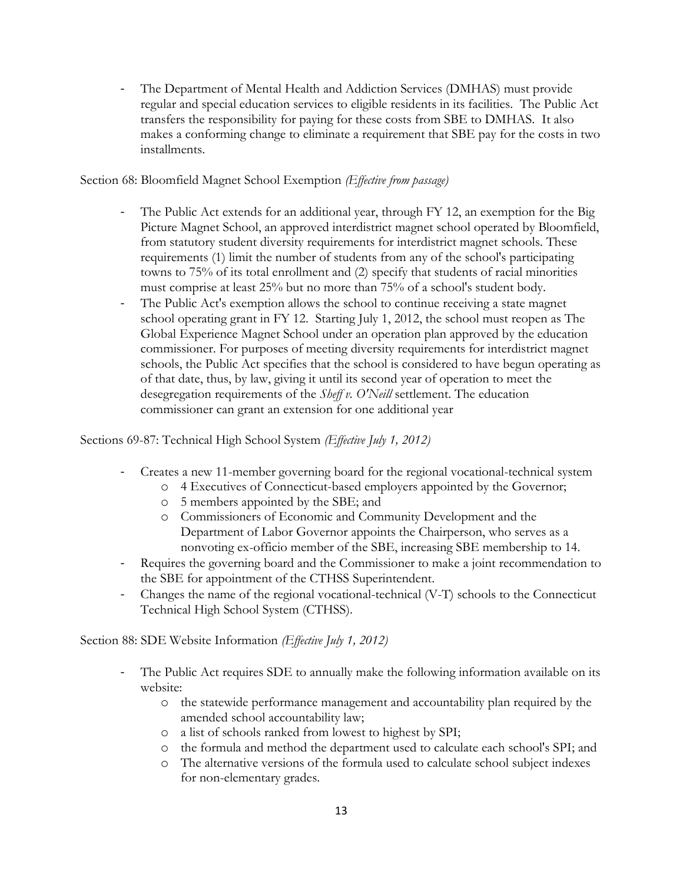- The Department of Mental Health and Addiction Services (DMHAS) must provide regular and special education services to eligible residents in its facilities. The Public Act transfers the responsibility for paying for these costs from SBE to DMHAS. It also makes a conforming change to eliminate a requirement that SBE pay for the costs in two installments.

#### Section 68: Bloomfield Magnet School Exemption *(Effective from passage)*

- The Public Act extends for an additional year, through FY 12, an exemption for the Big Picture Magnet School, an approved interdistrict magnet school operated by Bloomfield, from statutory student diversity requirements for interdistrict magnet schools. These requirements (1) limit the number of students from any of the school's participating towns to 75% of its total enrollment and (2) specify that students of racial minorities must comprise at least 25% but no more than 75% of a school's student body.
- The Public Act's exemption allows the school to continue receiving a state magnet school operating grant in FY 12. Starting July 1, 2012, the school must reopen as The Global Experience Magnet School under an operation plan approved by the education commissioner. For purposes of meeting diversity requirements for interdistrict magnet schools, the Public Act specifies that the school is considered to have begun operating as of that date, thus, by law, giving it until its second year of operation to meet the desegregation requirements of the *Sheff v. O'Neill* settlement. The education commissioner can grant an extension for one additional year

Sections 69-87: Technical High School System *(Effective July 1, 2012)*

- Creates a new 11-member governing board for the regional vocational-technical system
	- o 4 Executives of Connecticut-based employers appointed by the Governor;
	- o 5 members appointed by the SBE; and
	- o Commissioners of Economic and Community Development and the Department of Labor Governor appoints the Chairperson, who serves as a nonvoting ex-officio member of the SBE, increasing SBE membership to 14.
- Requires the governing board and the Commissioner to make a joint recommendation to the SBE for appointment of the CTHSS Superintendent.
- Changes the name of the regional vocational-technical (V-T) schools to the Connecticut Technical High School System (CTHSS).

Section 88: SDE Website Information *(Effective July 1, 2012)*

- The Public Act requires SDE to annually make the following information available on its website:
	- o the statewide performance management and accountability plan required by the amended school accountability law;
	- o a list of schools ranked from lowest to highest by SPI;
	- o the formula and method the department used to calculate each school's SPI; and
	- o The alternative versions of the formula used to calculate school subject indexes for non-elementary grades.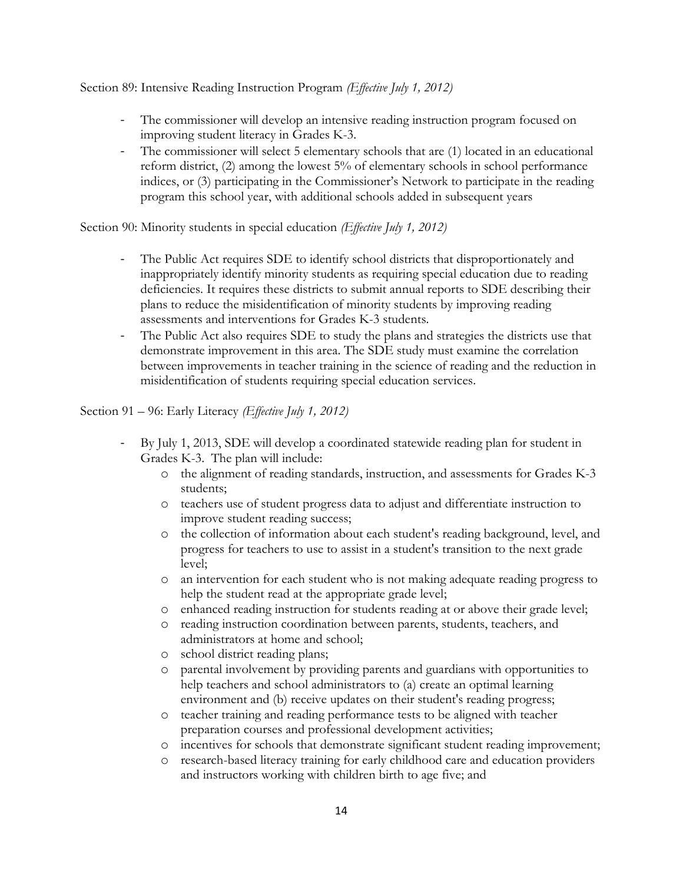Section 89: Intensive Reading Instruction Program *(Effective July 1, 2012)*

- The commissioner will develop an intensive reading instruction program focused on improving student literacy in Grades K-3.
- The commissioner will select 5 elementary schools that are (1) located in an educational reform district, (2) among the lowest 5% of elementary schools in school performance indices, or (3) participating in the Commissioner's Network to participate in the reading program this school year, with additional schools added in subsequent years

Section 90: Minority students in special education *(Effective July 1, 2012)*

- The Public Act requires SDE to identify school districts that disproportionately and inappropriately identify minority students as requiring special education due to reading deficiencies. It requires these districts to submit annual reports to SDE describing their plans to reduce the misidentification of minority students by improving reading assessments and interventions for Grades K-3 students.
- The Public Act also requires SDE to study the plans and strategies the districts use that demonstrate improvement in this area. The SDE study must examine the correlation between improvements in teacher training in the science of reading and the reduction in misidentification of students requiring special education services.

#### Section 91 – 96: Early Literacy *(Effective July 1, 2012)*

- By July 1, 2013, SDE will develop a coordinated statewide reading plan for student in Grades K-3. The plan will include:
	- o the alignment of reading standards, instruction, and assessments for Grades K-3 students;
	- o teachers use of student progress data to adjust and differentiate instruction to improve student reading success;
	- o the collection of information about each student's reading background, level, and progress for teachers to use to assist in a student's transition to the next grade level;
	- o an intervention for each student who is not making adequate reading progress to help the student read at the appropriate grade level;
	- o enhanced reading instruction for students reading at or above their grade level;
	- o reading instruction coordination between parents, students, teachers, and administrators at home and school;
	- o school district reading plans;
	- o parental involvement by providing parents and guardians with opportunities to help teachers and school administrators to (a) create an optimal learning environment and (b) receive updates on their student's reading progress;
	- o teacher training and reading performance tests to be aligned with teacher preparation courses and professional development activities;
	- o incentives for schools that demonstrate significant student reading improvement;
	- o research-based literacy training for early childhood care and education providers and instructors working with children birth to age five; and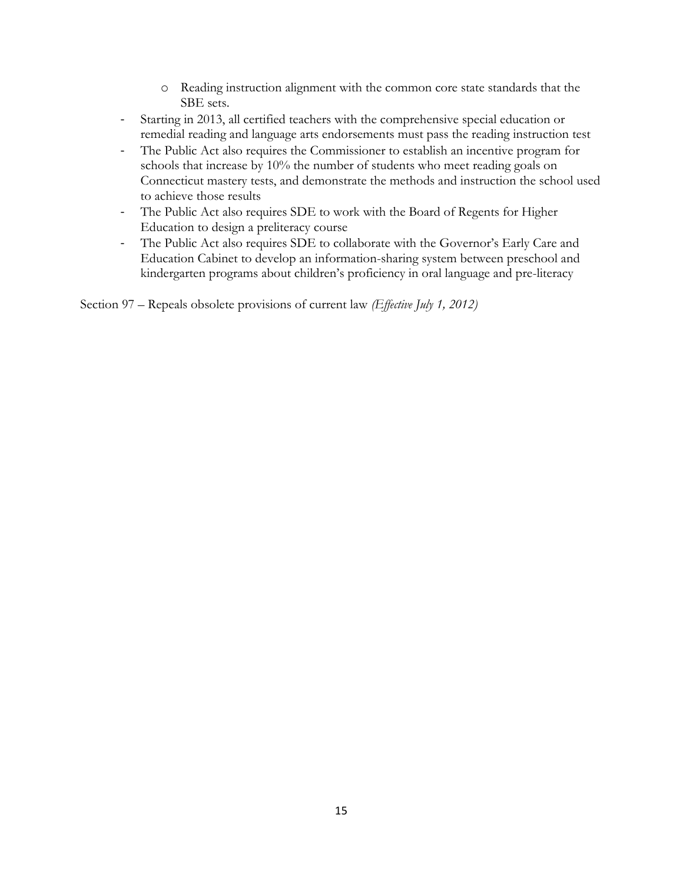- o Reading instruction alignment with the common core state standards that the SBE sets.
- Starting in 2013, all certified teachers with the comprehensive special education or remedial reading and language arts endorsements must pass the reading instruction test
- The Public Act also requires the Commissioner to establish an incentive program for schools that increase by 10% the number of students who meet reading goals on Connecticut mastery tests, and demonstrate the methods and instruction the school used to achieve those results
- The Public Act also requires SDE to work with the Board of Regents for Higher Education to design a preliteracy course
- The Public Act also requires SDE to collaborate with the Governor's Early Care and Education Cabinet to develop an information-sharing system between preschool and kindergarten programs about children's proficiency in oral language and pre-literacy

Section 97 – Repeals obsolete provisions of current law *(Effective July 1, 2012)*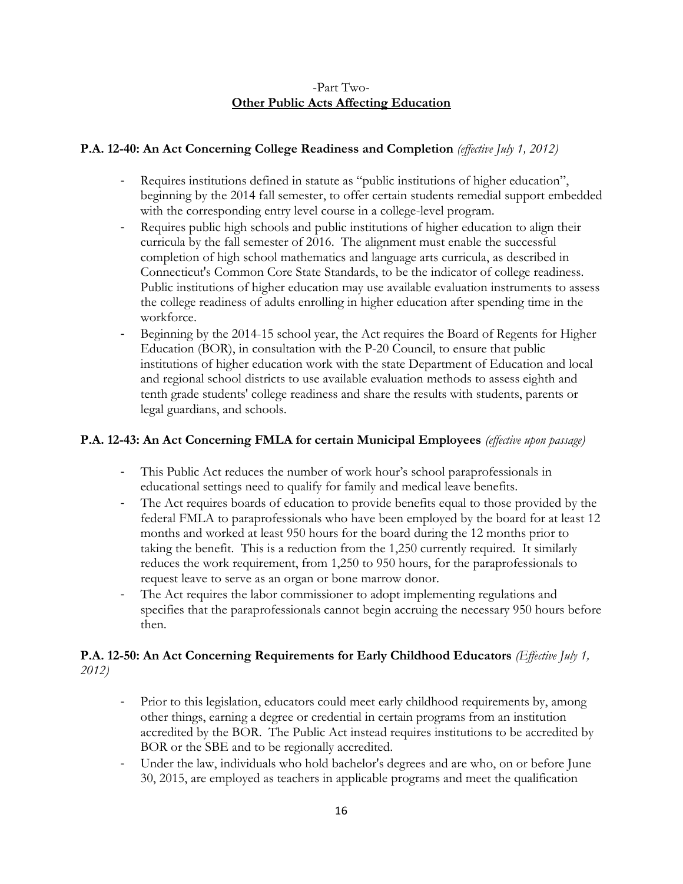## -Part Two-**Other Public Acts Affecting Education**

# **P.A. 12-40: An Act Concerning College Readiness and Completion** *(effective July 1, 2012)*

- Requires institutions defined in statute as "public institutions of higher education", beginning by the 2014 fall semester, to offer certain students remedial support embedded with the corresponding entry level course in a college-level program.
- Requires public high schools and public institutions of higher education to align their curricula by the fall semester of 2016. The alignment must enable the successful completion of high school mathematics and language arts curricula, as described in Connecticut's Common Core State Standards, to be the indicator of college readiness. Public institutions of higher education may use available evaluation instruments to assess the college readiness of adults enrolling in higher education after spending time in the workforce.
- Beginning by the 2014-15 school year, the Act requires the Board of Regents for Higher Education (BOR), in consultation with the P-20 Council, to ensure that public institutions of higher education work with the state Department of Education and local and regional school districts to use available evaluation methods to assess eighth and tenth grade students' college readiness and share the results with students, parents or legal guardians, and schools.

# **P.A. 12-43: An Act Concerning FMLA for certain Municipal Employees** *(effective upon passage)*

- This Public Act reduces the number of work hour's school paraprofessionals in educational settings need to qualify for family and medical leave benefits.
- The Act requires boards of education to provide benefits equal to those provided by the federal FMLA to paraprofessionals who have been employed by the board for at least 12 months and worked at least 950 hours for the board during the 12 months prior to taking the benefit. This is a reduction from the 1,250 currently required. It similarly reduces the work requirement, from 1,250 to 950 hours, for the paraprofessionals to request leave to serve as an organ or bone marrow donor.
- The Act requires the labor commissioner to adopt implementing regulations and specifies that the paraprofessionals cannot begin accruing the necessary 950 hours before then.

# **P.A. 12-50: An Act Concerning Requirements for Early Childhood Educators** *(Effective July 1, 2012)*

- Prior to this legislation, educators could meet early childhood requirements by, among other things, earning a degree or credential in certain programs from an institution accredited by the BOR. The Public Act instead requires institutions to be accredited by BOR or the SBE and to be regionally accredited.
- Under the law, individuals who hold bachelor's degrees and are who, on or before June 30, 2015, are employed as teachers in applicable programs and meet the qualification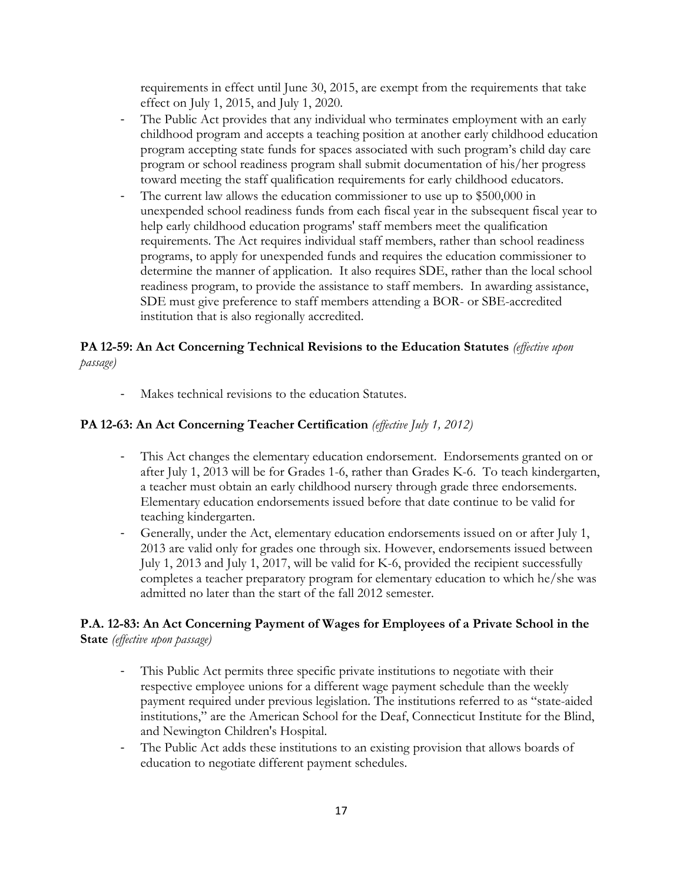requirements in effect until June 30, 2015, are exempt from the requirements that take effect on July 1, 2015, and July 1, 2020.

- The Public Act provides that any individual who terminates employment with an early childhood program and accepts a teaching position at another early childhood education program accepting state funds for spaces associated with such program's child day care program or school readiness program shall submit documentation of his/her progress toward meeting the staff qualification requirements for early childhood educators.
- The current law allows the education commissioner to use up to \$500,000 in unexpended school readiness funds from each fiscal year in the subsequent fiscal year to help early childhood education programs' staff members meet the qualification requirements. The Act requires individual staff members, rather than school readiness programs, to apply for unexpended funds and requires the education commissioner to determine the manner of application. It also requires SDE, rather than the local school readiness program, to provide the assistance to staff members. In awarding assistance, SDE must give preference to staff members attending a BOR- or SBE-accredited institution that is also regionally accredited.

## **PA 12-59: An Act Concerning Technical Revisions to the Education Statutes** *(effective upon passage)*

- Makes technical revisions to the education Statutes.

#### **PA 12-63: An Act Concerning Teacher Certification** *(effective July 1, 2012)*

- This Act changes the elementary education endorsement. Endorsements granted on or after July 1, 2013 will be for Grades 1-6, rather than Grades K-6. To teach kindergarten, a teacher must obtain an early childhood nursery through grade three endorsements. Elementary education endorsements issued before that date continue to be valid for teaching kindergarten.
- Generally, under the Act, elementary education endorsements issued on or after July 1, 2013 are valid only for grades one through six. However, endorsements issued between July 1, 2013 and July 1, 2017, will be valid for K-6, provided the recipient successfully completes a teacher preparatory program for elementary education to which he/she was admitted no later than the start of the fall 2012 semester.

### **P.A. 12-83: An Act Concerning Payment of Wages for Employees of a Private School in the State** *(effective upon passage)*

- This Public Act permits three specific private institutions to negotiate with their respective employee unions for a different wage payment schedule than the weekly payment required under previous legislation. The institutions referred to as "state-aided institutions," are the American School for the Deaf, Connecticut Institute for the Blind, and Newington Children's Hospital.
- The Public Act adds these institutions to an existing provision that allows boards of education to negotiate different payment schedules.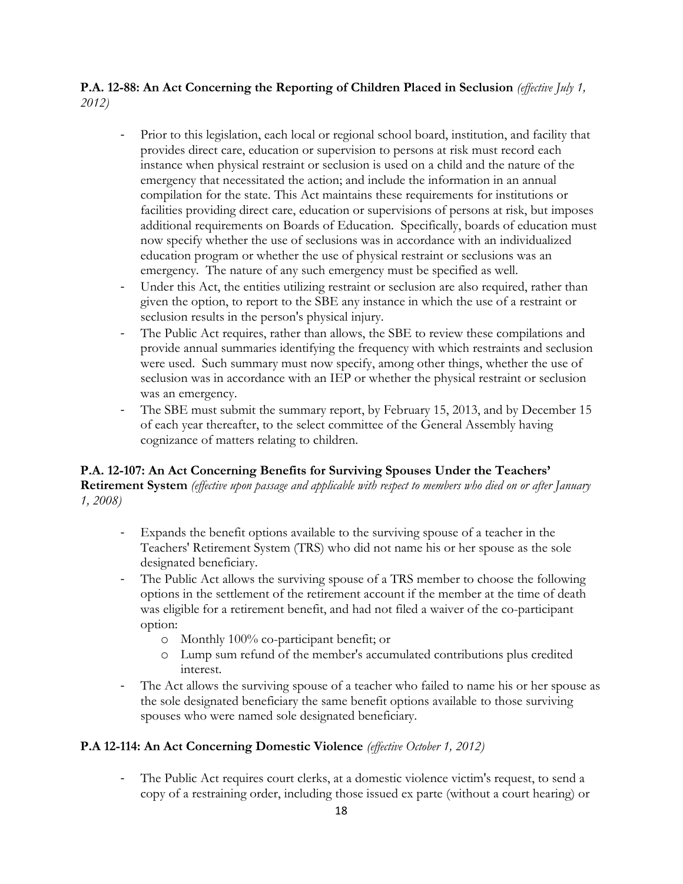## **P.A. 12-88: An Act Concerning the Reporting of Children Placed in Seclusion** *(effective July 1, 2012)*

- Prior to this legislation, each local or regional school board, institution, and facility that provides direct care, education or supervision to persons at risk must record each instance when physical restraint or seclusion is used on a child and the nature of the emergency that necessitated the action; and include the information in an annual compilation for the state. This Act maintains these requirements for institutions or facilities providing direct care, education or supervisions of persons at risk, but imposes additional requirements on Boards of Education. Specifically, boards of education must now specify whether the use of seclusions was in accordance with an individualized education program or whether the use of physical restraint or seclusions was an emergency. The nature of any such emergency must be specified as well.
- Under this Act, the entities utilizing restraint or seclusion are also required, rather than given the option, to report to the SBE any instance in which the use of a restraint or seclusion results in the person's physical injury.
- The Public Act requires, rather than allows, the SBE to review these compilations and provide annual summaries identifying the frequency with which restraints and seclusion were used. Such summary must now specify, among other things, whether the use of seclusion was in accordance with an IEP or whether the physical restraint or seclusion was an emergency.
- The SBE must submit the summary report, by February 15, 2013, and by December 15 of each year thereafter, to the select committee of the General Assembly having cognizance of matters relating to children.

#### **P.A. 12-107: An Act Concerning Benefits for Surviving Spouses Under the Teachers' Retirement System** *(effective upon passage and applicable with respect to members who died on or after January 1, 2008)*

- Expands the benefit options available to the surviving spouse of a teacher in the Teachers' Retirement System (TRS) who did not name his or her spouse as the sole designated beneficiary.
- The Public Act allows the surviving spouse of a TRS member to choose the following options in the settlement of the retirement account if the member at the time of death was eligible for a retirement benefit, and had not filed a waiver of the co-participant option:
	- o Monthly 100% co-participant benefit; or
	- o Lump sum refund of the member's accumulated contributions plus credited interest.
- The Act allows the surviving spouse of a teacher who failed to name his or her spouse as the sole designated beneficiary the same benefit options available to those surviving spouses who were named sole designated beneficiary.

# **P.A 12-114: An Act Concerning Domestic Violence** *(effective October 1, 2012)*

- The Public Act requires court clerks, at a domestic violence victim's request, to send a copy of a restraining order, including those issued ex parte (without a court hearing) or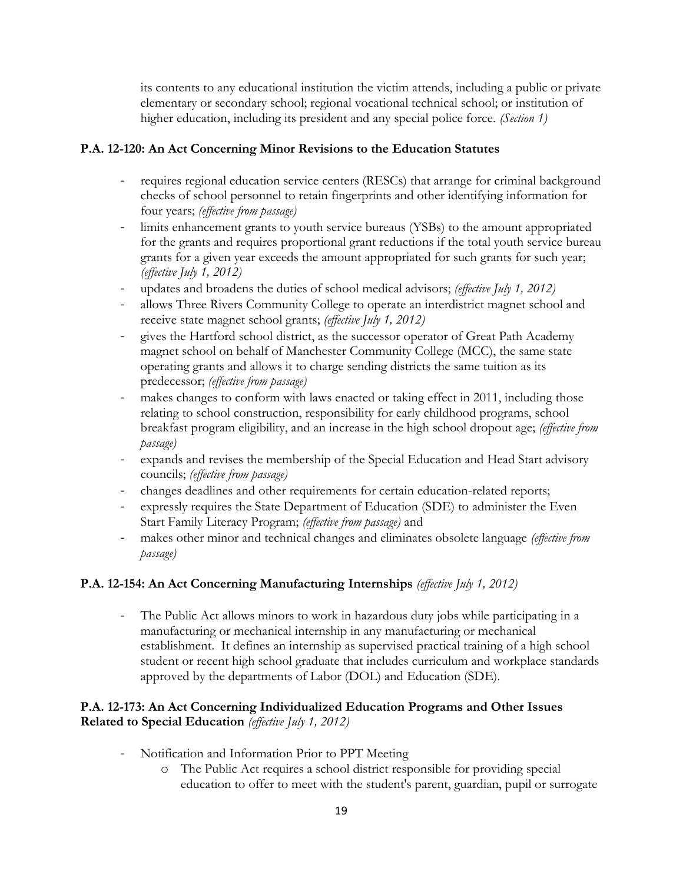its contents to any educational institution the victim attends, including a public or private elementary or secondary school; regional vocational technical school; or institution of higher education, including its president and any special police force. *(Section 1)*

## **P.A. 12-120: An Act Concerning Minor Revisions to the Education Statutes**

- requires regional education service centers (RESCs) that arrange for criminal background checks of school personnel to retain fingerprints and other identifying information for four years; *(effective from passage)*
- limits enhancement grants to youth service bureaus (YSBs) to the amount appropriated for the grants and requires proportional grant reductions if the total youth service bureau grants for a given year exceeds the amount appropriated for such grants for such year; *(effective July 1, 2012)*
- updates and broadens the duties of school medical advisors; *(effective July 1, 2012)*
- allows Three Rivers Community College to operate an interdistrict magnet school and receive state magnet school grants; *(effective July 1, 2012)*
- gives the Hartford school district, as the successor operator of Great Path Academy magnet school on behalf of Manchester Community College (MCC), the same state operating grants and allows it to charge sending districts the same tuition as its predecessor; *(effective from passage)*
- makes changes to conform with laws enacted or taking effect in 2011, including those relating to school construction, responsibility for early childhood programs, school breakfast program eligibility, and an increase in the high school dropout age; *(effective from passage)*
- expands and revises the membership of the Special Education and Head Start advisory councils; *(effective from passage)*
- changes deadlines and other requirements for certain education-related reports;
- expressly requires the State Department of Education (SDE) to administer the Even Start Family Literacy Program; *(effective from passage)* and
- makes other minor and technical changes and eliminates obsolete language *(effective from passage)*

# **P.A. 12-154: An Act Concerning Manufacturing Internships** *(effective July 1, 2012)*

- The Public Act allows minors to work in hazardous duty jobs while participating in a manufacturing or mechanical internship in any manufacturing or mechanical establishment. It defines an internship as supervised practical training of a high school student or recent high school graduate that includes curriculum and workplace standards approved by the departments of Labor (DOL) and Education (SDE).

## **P.A. 12-173: An Act Concerning Individualized Education Programs and Other Issues Related to Special Education** *(effective July 1, 2012)*

- Notification and Information Prior to PPT Meeting
	- o The Public Act requires a school district responsible for providing special education to offer to meet with the student's parent, guardian, pupil or surrogate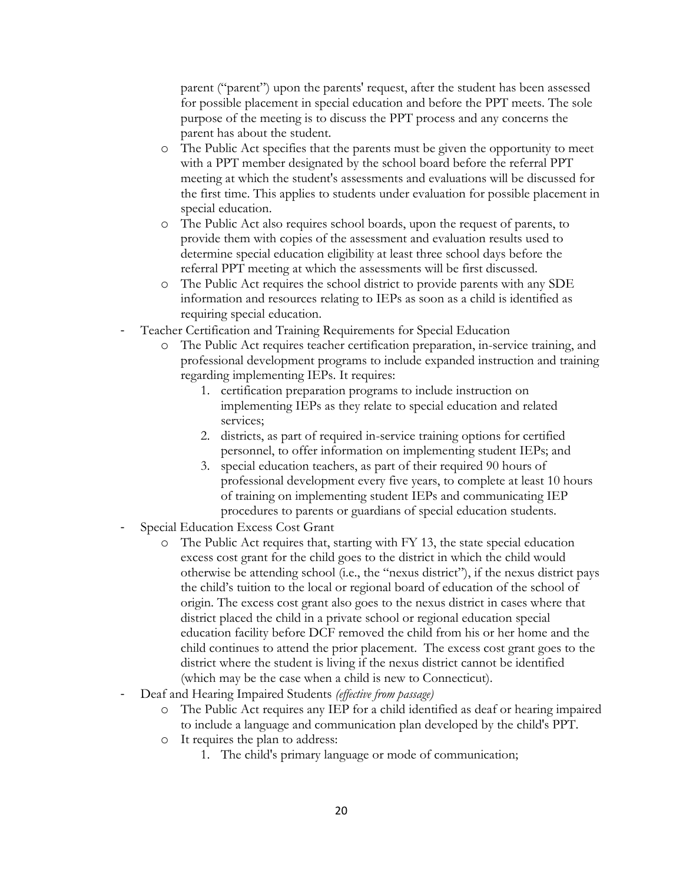parent ("parent") upon the parents' request, after the student has been assessed for possible placement in special education and before the PPT meets. The sole purpose of the meeting is to discuss the PPT process and any concerns the parent has about the student.

- o The Public Act specifies that the parents must be given the opportunity to meet with a PPT member designated by the school board before the referral PPT meeting at which the student's assessments and evaluations will be discussed for the first time. This applies to students under evaluation for possible placement in special education.
- o The Public Act also requires school boards, upon the request of parents, to provide them with copies of the assessment and evaluation results used to determine special education eligibility at least three school days before the referral PPT meeting at which the assessments will be first discussed.
- o The Public Act requires the school district to provide parents with any SDE information and resources relating to IEPs as soon as a child is identified as requiring special education.
- Teacher Certification and Training Requirements for Special Education
	- o The Public Act requires teacher certification preparation, in-service training, and professional development programs to include expanded instruction and training regarding implementing IEPs. It requires:
		- 1. certification preparation programs to include instruction on implementing IEPs as they relate to special education and related services;
		- 2. districts, as part of required in-service training options for certified personnel, to offer information on implementing student IEPs; and
		- 3. special education teachers, as part of their required 90 hours of professional development every five years, to complete at least 10 hours of training on implementing student IEPs and communicating IEP procedures to parents or guardians of special education students.
- Special Education Excess Cost Grant
	- o The Public Act requires that, starting with FY 13, the state special education excess cost grant for the child goes to the district in which the child would otherwise be attending school (i.e., the "nexus district"), if the nexus district pays the child's tuition to the local or regional board of education of the school of origin. The excess cost grant also goes to the nexus district in cases where that district placed the child in a private school or regional education special education facility before DCF removed the child from his or her home and the child continues to attend the prior placement. The excess cost grant goes to the district where the student is living if the nexus district cannot be identified (which may be the case when a child is new to Connecticut).
- Deaf and Hearing Impaired Students *(effective from passage)*
	- o The Public Act requires any IEP for a child identified as deaf or hearing impaired to include a language and communication plan developed by the child's PPT.
	- o It requires the plan to address:
		- 1. The child's primary language or mode of communication;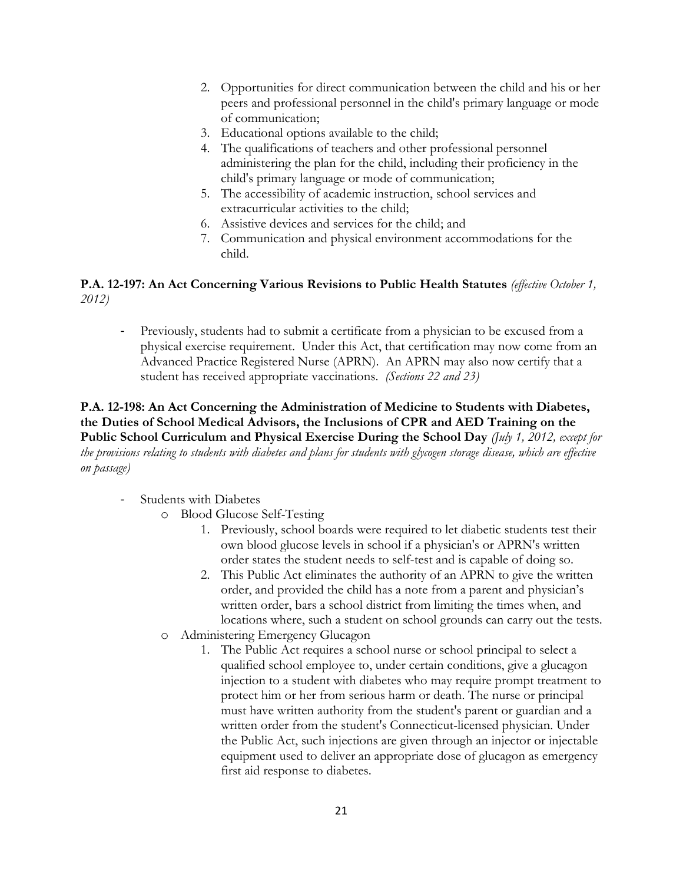- 2. Opportunities for direct communication between the child and his or her peers and professional personnel in the child's primary language or mode of communication;
- 3. Educational options available to the child;
- 4. The qualifications of teachers and other professional personnel administering the plan for the child, including their proficiency in the child's primary language or mode of communication;
- 5. The accessibility of academic instruction, school services and extracurricular activities to the child;
- 6. Assistive devices and services for the child; and
- 7. Communication and physical environment accommodations for the child.

## **P.A. 12-197: An Act Concerning Various Revisions to Public Health Statutes** *(effective October 1, 2012)*

- Previously, students had to submit a certificate from a physician to be excused from a physical exercise requirement. Under this Act, that certification may now come from an Advanced Practice Registered Nurse (APRN). An APRN may also now certify that a student has received appropriate vaccinations. *(Sections 22 and 23)*

## **P.A. 12-198: An Act Concerning the Administration of Medicine to Students with Diabetes, the Duties of School Medical Advisors, the Inclusions of CPR and AED Training on the Public School Curriculum and Physical Exercise During the School Day** *(July 1, 2012, except for the provisions relating to students with diabetes and plans for students with glycogen storage disease, which are effective on passage)*

- Students with Diabetes
	- o Blood Glucose Self-Testing
		- 1. Previously, school boards were required to let diabetic students test their own blood glucose levels in school if a physician's or APRN's written order states the student needs to self-test and is capable of doing so.
		- 2. This Public Act eliminates the authority of an APRN to give the written order, and provided the child has a note from a parent and physician's written order, bars a school district from limiting the times when, and locations where, such a student on school grounds can carry out the tests.
	- o Administering Emergency Glucagon
		- 1. The Public Act requires a school nurse or school principal to select a qualified school employee to, under certain conditions, give a glucagon injection to a student with diabetes who may require prompt treatment to protect him or her from serious harm or death. The nurse or principal must have written authority from the student's parent or guardian and a written order from the student's Connecticut-licensed physician. Under the Public Act, such injections are given through an injector or injectable equipment used to deliver an appropriate dose of glucagon as emergency first aid response to diabetes.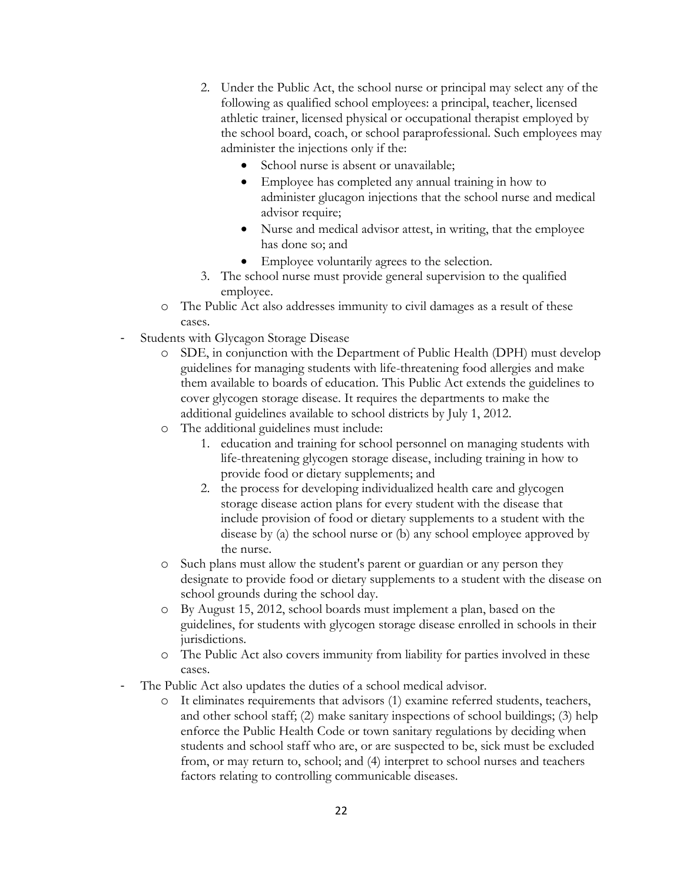- 2. Under the Public Act, the school nurse or principal may select any of the following as qualified school employees: a principal, teacher, licensed athletic trainer, licensed physical or occupational therapist employed by the school board, coach, or school paraprofessional. Such employees may administer the injections only if the:
	- School nurse is absent or unavailable;
	- Employee has completed any annual training in how to administer glucagon injections that the school nurse and medical advisor require;
	- Nurse and medical advisor attest, in writing, that the employee has done so; and
	- Employee voluntarily agrees to the selection.
- 3. The school nurse must provide general supervision to the qualified employee.
- o The Public Act also addresses immunity to civil damages as a result of these cases.
- Students with Glycagon Storage Disease
	- o SDE, in conjunction with the Department of Public Health (DPH) must develop guidelines for managing students with life-threatening food allergies and make them available to boards of education. This Public Act extends the guidelines to cover glycogen storage disease. It requires the departments to make the additional guidelines available to school districts by July 1, 2012.
	- o The additional guidelines must include:
		- 1. education and training for school personnel on managing students with life-threatening glycogen storage disease, including training in how to provide food or dietary supplements; and
		- 2. the process for developing individualized health care and glycogen storage disease action plans for every student with the disease that include provision of food or dietary supplements to a student with the disease by (a) the school nurse or (b) any school employee approved by the nurse.
	- o Such plans must allow the student's parent or guardian or any person they designate to provide food or dietary supplements to a student with the disease on school grounds during the school day.
	- o By August 15, 2012, school boards must implement a plan, based on the guidelines, for students with glycogen storage disease enrolled in schools in their jurisdictions.
	- o The Public Act also covers immunity from liability for parties involved in these cases.
- The Public Act also updates the duties of a school medical advisor.
	- o It eliminates requirements that advisors (1) examine referred students, teachers, and other school staff; (2) make sanitary inspections of school buildings; (3) help enforce the Public Health Code or town sanitary regulations by deciding when students and school staff who are, or are suspected to be, sick must be excluded from, or may return to, school; and (4) interpret to school nurses and teachers factors relating to controlling communicable diseases.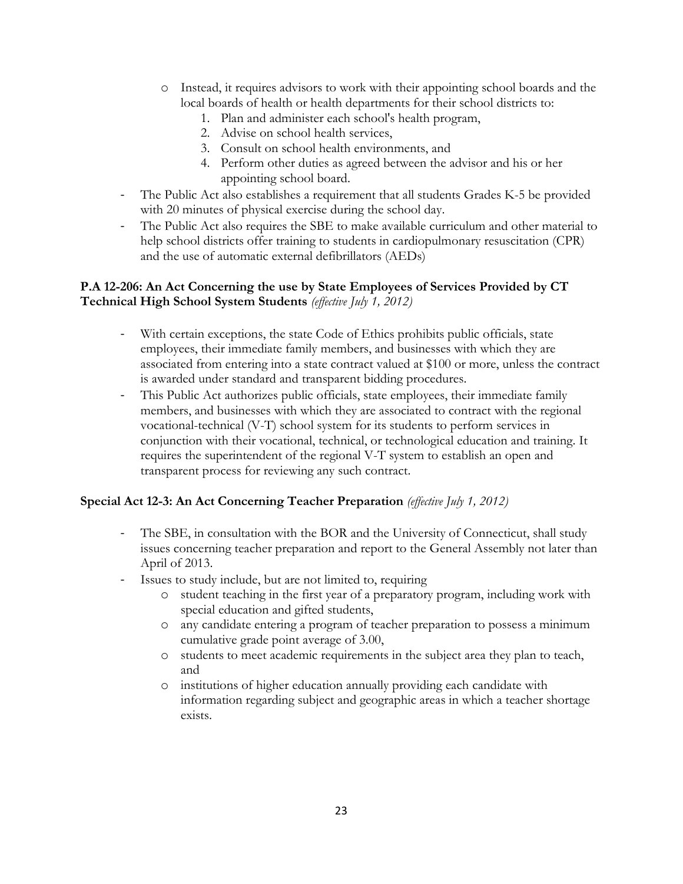- o Instead, it requires advisors to work with their appointing school boards and the local boards of health or health departments for their school districts to:
	- 1. Plan and administer each school's health program,
	- 2. Advise on school health services,
	- 3. Consult on school health environments, and
	- 4. Perform other duties as agreed between the advisor and his or her appointing school board.
- The Public Act also establishes a requirement that all students Grades K-5 be provided with 20 minutes of physical exercise during the school day.
- The Public Act also requires the SBE to make available curriculum and other material to help school districts offer training to students in cardiopulmonary resuscitation (CPR) and the use of automatic external defibrillators (AEDs)

## **P.A 12-206: An Act Concerning the use by State Employees of Services Provided by CT Technical High School System Students** *(effective July 1, 2012)*

- With certain exceptions, the state Code of Ethics prohibits public officials, state employees, their immediate family members, and businesses with which they are associated from entering into a state contract valued at \$100 or more, unless the contract is awarded under standard and transparent bidding procedures.
- This Public Act authorizes public officials, state employees, their immediate family members, and businesses with which they are associated to contract with the regional vocational-technical (V-T) school system for its students to perform services in conjunction with their vocational, technical, or technological education and training. It requires the superintendent of the regional V-T system to establish an open and transparent process for reviewing any such contract.

# **Special Act 12-3: An Act Concerning Teacher Preparation** *(effective July 1, 2012)*

- The SBE, in consultation with the BOR and the University of Connecticut, shall study issues concerning teacher preparation and report to the General Assembly not later than April of 2013.
- Issues to study include, but are not limited to, requiring
	- o student teaching in the first year of a preparatory program, including work with special education and gifted students,
	- o any candidate entering a program of teacher preparation to possess a minimum cumulative grade point average of 3.00,
	- o students to meet academic requirements in the subject area they plan to teach, and
	- o institutions of higher education annually providing each candidate with information regarding subject and geographic areas in which a teacher shortage exists.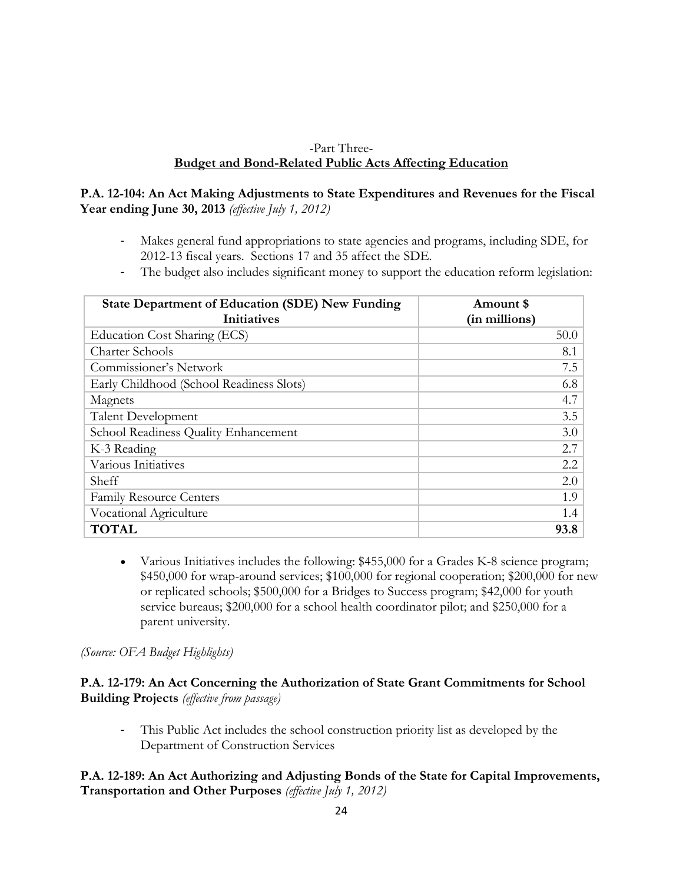### -Part Three-**Budget and Bond-Related Public Acts Affecting Education**

## **P.A. 12-104: An Act Making Adjustments to State Expenditures and Revenues for the Fiscal Year ending June 30, 2013** *(effective July 1, 2012)*

- Makes general fund appropriations to state agencies and programs, including SDE, for 2012-13 fiscal years. Sections 17 and 35 affect the SDE.
- The budget also includes significant money to support the education reform legislation:

| <b>State Department of Education (SDE) New Funding</b><br><b>Initiatives</b> | Amount \$<br>(in millions) |
|------------------------------------------------------------------------------|----------------------------|
| Education Cost Sharing (ECS)                                                 | 50.0                       |
| <b>Charter Schools</b>                                                       | 8.1                        |
| Commissioner's Network                                                       | 7.5                        |
| Early Childhood (School Readiness Slots)                                     | 6.8                        |
| Magnets                                                                      | 4.7                        |
| <b>Talent Development</b>                                                    | 3.5                        |
| School Readiness Quality Enhancement                                         | 3.0                        |
| K-3 Reading                                                                  | 2.7                        |
| Various Initiatives                                                          | 2.2                        |
| Sheff                                                                        | 2.0                        |
| <b>Family Resource Centers</b>                                               | 1.9                        |
| Vocational Agriculture                                                       | 1.4                        |
| <b>TOTAL</b>                                                                 | 93.8                       |

 Various Initiatives includes the following: \$455,000 for a Grades K-8 science program; \$450,000 for wrap-around services; \$100,000 for regional cooperation; \$200,000 for new or replicated schools; \$500,000 for a Bridges to Success program; \$42,000 for youth service bureaus; \$200,000 for a school health coordinator pilot; and \$250,000 for a parent university.

*(Source: OFA Budget Highlights)*

**P.A. 12-179: An Act Concerning the Authorization of State Grant Commitments for School Building Projects** *(effective from passage)*

- This Public Act includes the school construction priority list as developed by the Department of Construction Services

## **P.A. 12-189: An Act Authorizing and Adjusting Bonds of the State for Capital Improvements, Transportation and Other Purposes** *(effective July 1, 2012)*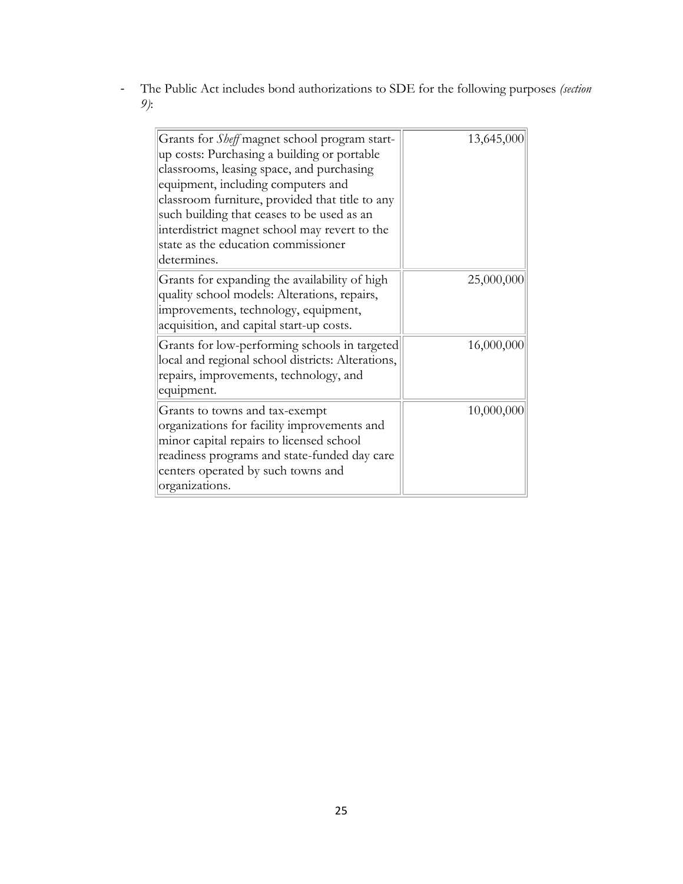- The Public Act includes bond authorizations to SDE for the following purposes *(section 9)*:

| Grants for <i>Sheff</i> magnet school program start-<br>up costs: Purchasing a building or portable<br>classrooms, leasing space, and purchasing<br>equipment, including computers and<br>classroom furniture, provided that title to any<br>such building that ceases to be used as an<br>interdistrict magnet school may revert to the<br>state as the education commissioner<br>determines. | 13,645,000 |
|------------------------------------------------------------------------------------------------------------------------------------------------------------------------------------------------------------------------------------------------------------------------------------------------------------------------------------------------------------------------------------------------|------------|
| Grants for expanding the availability of high<br>quality school models: Alterations, repairs,<br>improvements, technology, equipment,<br>acquisition, and capital start-up costs.                                                                                                                                                                                                              | 25,000,000 |
| Grants for low-performing schools in targeted<br>local and regional school districts: Alterations,<br>repairs, improvements, technology, and<br>equipment.                                                                                                                                                                                                                                     | 16,000,000 |
| Grants to towns and tax-exempt<br>organizations for facility improvements and<br>minor capital repairs to licensed school<br>readiness programs and state-funded day care<br>centers operated by such towns and<br>organizations.                                                                                                                                                              | 10,000,000 |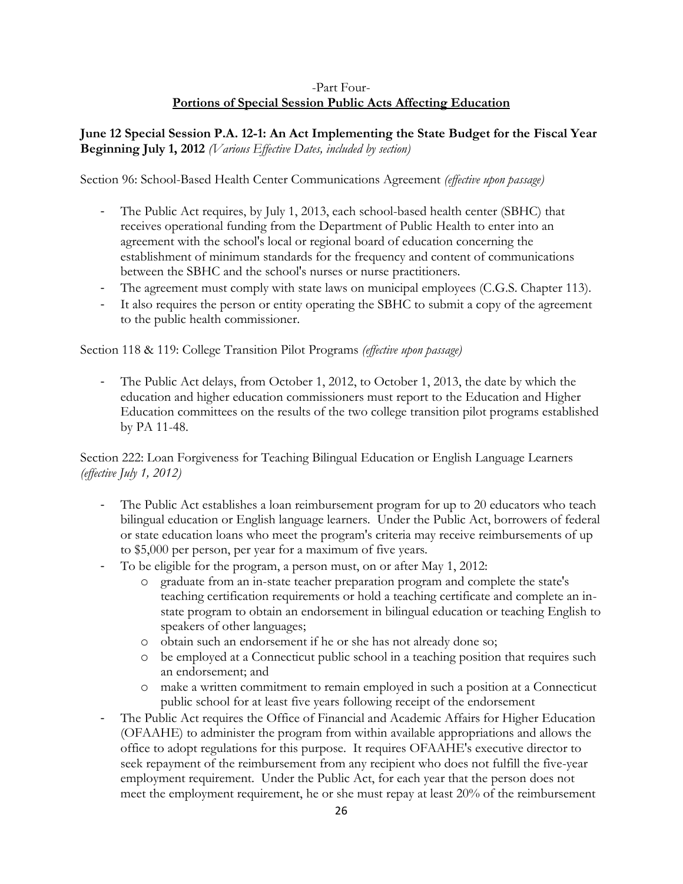### -Part Four-**Portions of Special Session Public Acts Affecting Education**

**June 12 Special Session P.A. 12-1: An Act Implementing the State Budget for the Fiscal Year Beginning July 1, 2012** *(Various Effective Dates, included by section)*

Section 96: School-Based Health Center Communications Agreement *(effective upon passage)*

- The Public Act requires, by July 1, 2013, each school-based health center (SBHC) that receives operational funding from the Department of Public Health to enter into an agreement with the school's local or regional board of education concerning the establishment of minimum standards for the frequency and content of communications between the SBHC and the school's nurses or nurse practitioners.
- The agreement must comply with state laws on municipal employees (C.G.S. Chapter 113).
- It also requires the person or entity operating the SBHC to submit a copy of the agreement to the public health commissioner.

Section 118 & 119: College Transition Pilot Programs *(effective upon passage)*

The Public Act delays, from October 1, 2012, to October 1, 2013, the date by which the education and higher education commissioners must report to the Education and Higher Education committees on the results of the two college transition pilot programs established by PA 11-48.

Section 222: Loan Forgiveness for Teaching Bilingual Education or English Language Learners *(effective July 1, 2012)*

- The Public Act establishes a loan reimbursement program for up to 20 educators who teach bilingual education or English language learners. Under the Public Act, borrowers of federal or state education loans who meet the program's criteria may receive reimbursements of up to \$5,000 per person, per year for a maximum of five years.
- To be eligible for the program, a person must, on or after May 1, 2012:
	- o graduate from an in-state teacher preparation program and complete the state's teaching certification requirements or hold a teaching certificate and complete an instate program to obtain an endorsement in bilingual education or teaching English to speakers of other languages;
	- o obtain such an endorsement if he or she has not already done so;
	- o be employed at a Connecticut public school in a teaching position that requires such an endorsement; and
	- o make a written commitment to remain employed in such a position at a Connecticut public school for at least five years following receipt of the endorsement
- The Public Act requires the Office of Financial and Academic Affairs for Higher Education (OFAAHE) to administer the program from within available appropriations and allows the office to adopt regulations for this purpose. It requires OFAAHE's executive director to seek repayment of the reimbursement from any recipient who does not fulfill the five-year employment requirement. Under the Public Act, for each year that the person does not meet the employment requirement, he or she must repay at least 20% of the reimbursement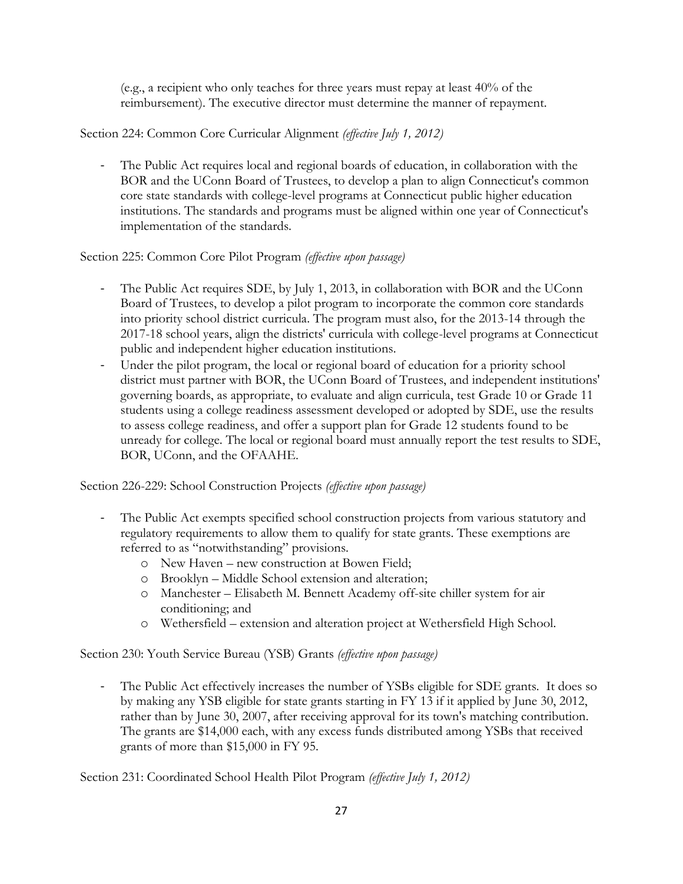(e.g., a recipient who only teaches for three years must repay at least 40% of the reimbursement). The executive director must determine the manner of repayment.

## Section 224: Common Core Curricular Alignment *(effective July 1, 2012)*

The Public Act requires local and regional boards of education, in collaboration with the BOR and the UConn Board of Trustees, to develop a plan to align Connecticut's common core state standards with college-level programs at Connecticut public higher education institutions. The standards and programs must be aligned within one year of Connecticut's implementation of the standards.

## Section 225: Common Core Pilot Program *(effective upon passage)*

- The Public Act requires SDE, by July 1, 2013, in collaboration with BOR and the UConn Board of Trustees, to develop a pilot program to incorporate the common core standards into priority school district curricula. The program must also, for the 2013-14 through the 2017-18 school years, align the districts' curricula with college-level programs at Connecticut public and independent higher education institutions.
- Under the pilot program, the local or regional board of education for a priority school district must partner with BOR, the UConn Board of Trustees, and independent institutions' governing boards, as appropriate, to evaluate and align curricula, test Grade 10 or Grade 11 students using a college readiness assessment developed or adopted by SDE, use the results to assess college readiness, and offer a support plan for Grade 12 students found to be unready for college. The local or regional board must annually report the test results to SDE, BOR, UConn, and the OFAAHE.

Section 226-229: School Construction Projects *(effective upon passage)*

- The Public Act exempts specified school construction projects from various statutory and regulatory requirements to allow them to qualify for state grants. These exemptions are referred to as "notwithstanding" provisions.
	- o New Haven new construction at Bowen Field;
	- o Brooklyn Middle School extension and alteration;
	- o Manchester Elisabeth M. Bennett Academy off-site chiller system for air conditioning; and
	- o Wethersfield extension and alteration project at Wethersfield High School.

Section 230: Youth Service Bureau (YSB) Grants *(effective upon passage)*

- The Public Act effectively increases the number of YSBs eligible for SDE grants. It does so by making any YSB eligible for state grants starting in FY 13 if it applied by June 30, 2012, rather than by June 30, 2007, after receiving approval for its town's matching contribution. The grants are \$14,000 each, with any excess funds distributed among YSBs that received grants of more than \$15,000 in FY 95.

Section 231: Coordinated School Health Pilot Program *(effective July 1, 2012)*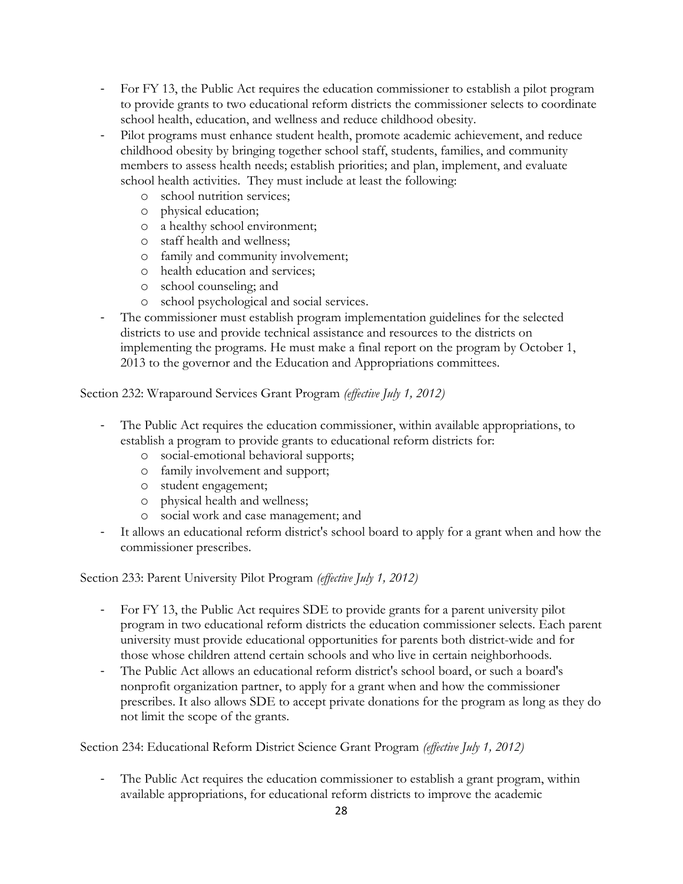- For FY 13, the Public Act requires the education commissioner to establish a pilot program to provide grants to two educational reform districts the commissioner selects to coordinate school health, education, and wellness and reduce childhood obesity.
- Pilot programs must enhance student health, promote academic achievement, and reduce childhood obesity by bringing together school staff, students, families, and community members to assess health needs; establish priorities; and plan, implement, and evaluate school health activities. They must include at least the following:
	- o school nutrition services;
	- o physical education;
	- o a healthy school environment;
	- o staff health and wellness;
	- o family and community involvement;
	- o health education and services;
	- o school counseling; and
	- o school psychological and social services.
- The commissioner must establish program implementation guidelines for the selected districts to use and provide technical assistance and resources to the districts on implementing the programs. He must make a final report on the program by October 1, 2013 to the governor and the Education and Appropriations committees.

### Section 232: Wraparound Services Grant Program *(effective July 1, 2012)*

- The Public Act requires the education commissioner, within available appropriations, to establish a program to provide grants to educational reform districts for:
	- o social-emotional behavioral supports;
	- o family involvement and support;
	- o student engagement;
	- o physical health and wellness;
	- o social work and case management; and
- It allows an educational reform district's school board to apply for a grant when and how the commissioner prescribes.

### Section 233: Parent University Pilot Program *(effective July 1, 2012)*

- For FY 13, the Public Act requires SDE to provide grants for a parent university pilot program in two educational reform districts the education commissioner selects. Each parent university must provide educational opportunities for parents both district-wide and for those whose children attend certain schools and who live in certain neighborhoods.
- The Public Act allows an educational reform district's school board, or such a board's nonprofit organization partner, to apply for a grant when and how the commissioner prescribes. It also allows SDE to accept private donations for the program as long as they do not limit the scope of the grants.

Section 234: Educational Reform District Science Grant Program *(effective July 1, 2012)*

- The Public Act requires the education commissioner to establish a grant program, within available appropriations, for educational reform districts to improve the academic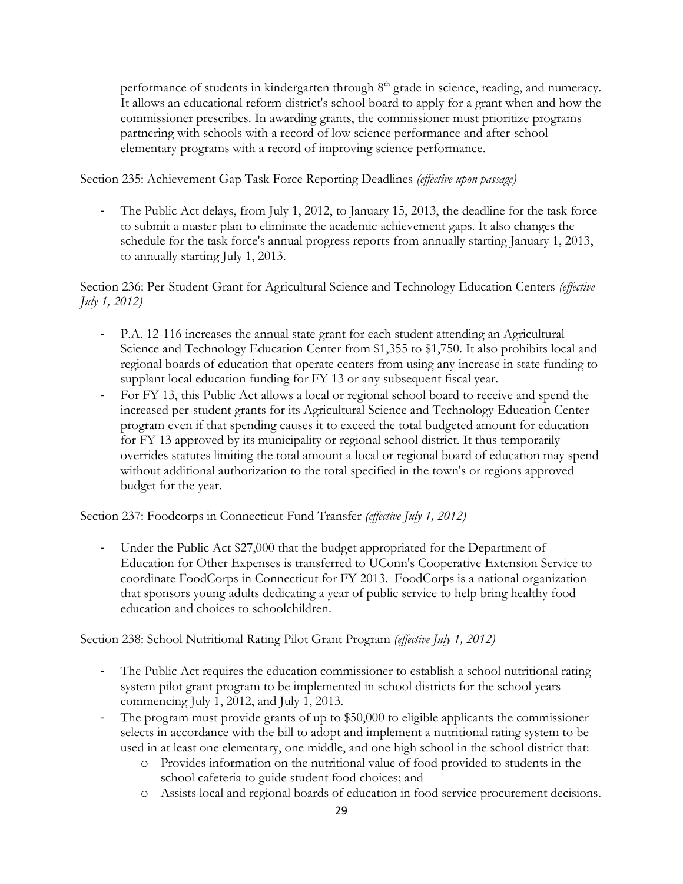performance of students in kindergarten through 8<sup>th</sup> grade in science, reading, and numeracy. It allows an educational reform district's school board to apply for a grant when and how the commissioner prescribes. In awarding grants, the commissioner must prioritize programs partnering with schools with a record of low science performance and after-school elementary programs with a record of improving science performance.

Section 235: Achievement Gap Task Force Reporting Deadlines *(effective upon passage)*

The Public Act delays, from July 1, 2012, to January 15, 2013, the deadline for the task force to submit a master plan to eliminate the academic achievement gaps. It also changes the schedule for the task force's annual progress reports from annually starting January 1, 2013, to annually starting July 1, 2013.

Section 236: Per-Student Grant for Agricultural Science and Technology Education Centers *(effective July 1, 2012)*

- P.A. 12-116 increases the annual state grant for each student attending an Agricultural Science and Technology Education Center from \$1,355 to \$1,750. It also prohibits local and regional boards of education that operate centers from using any increase in state funding to supplant local education funding for FY 13 or any subsequent fiscal year.
- For FY 13, this Public Act allows a local or regional school board to receive and spend the increased per-student grants for its Agricultural Science and Technology Education Center program even if that spending causes it to exceed the total budgeted amount for education for FY 13 approved by its municipality or regional school district. It thus temporarily overrides statutes limiting the total amount a local or regional board of education may spend without additional authorization to the total specified in the town's or regions approved budget for the year.

Section 237: Foodcorps in Connecticut Fund Transfer *(effective July 1, 2012)*

- Under the Public Act \$27,000 that the budget appropriated for the Department of Education for Other Expenses is transferred to UConn's Cooperative Extension Service to coordinate FoodCorps in Connecticut for FY 2013. FoodCorps is a national organization that sponsors young adults dedicating a year of public service to help bring healthy food education and choices to schoolchildren.

Section 238: School Nutritional Rating Pilot Grant Program *(effective July 1, 2012)*

- The Public Act requires the education commissioner to establish a school nutritional rating system pilot grant program to be implemented in school districts for the school years commencing July 1, 2012, and July 1, 2013.
- The program must provide grants of up to \$50,000 to eligible applicants the commissioner selects in accordance with the bill to adopt and implement a nutritional rating system to be used in at least one elementary, one middle, and one high school in the school district that:
	- o Provides information on the nutritional value of food provided to students in the school cafeteria to guide student food choices; and
	- o Assists local and regional boards of education in food service procurement decisions.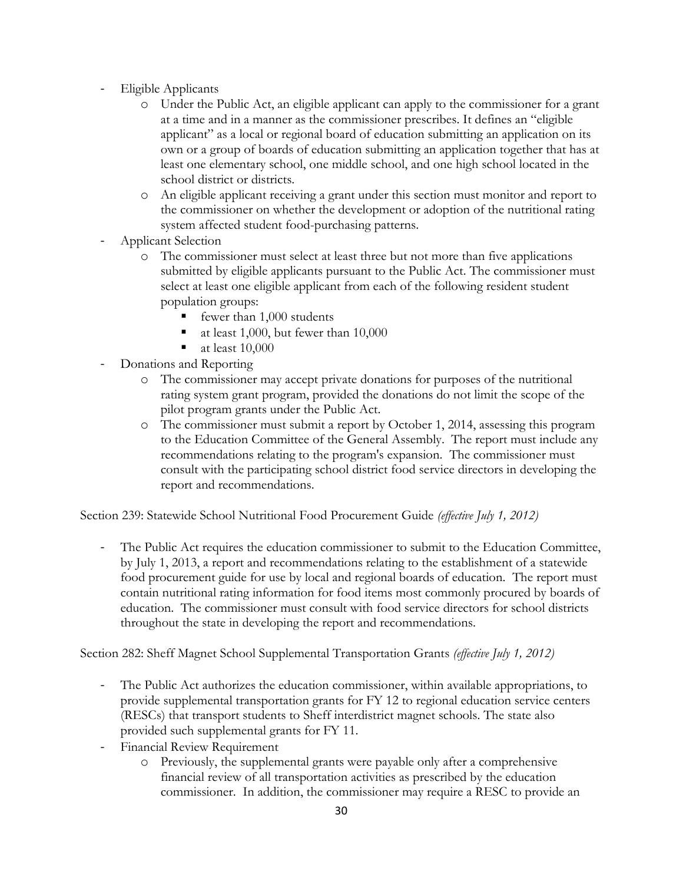- Eligible Applicants
	- o Under the Public Act, an eligible applicant can apply to the commissioner for a grant at a time and in a manner as the commissioner prescribes. It defines an "eligible applicant" as a local or regional board of education submitting an application on its own or a group of boards of education submitting an application together that has at least one elementary school, one middle school, and one high school located in the school district or districts.
	- o An eligible applicant receiving a grant under this section must monitor and report to the commissioner on whether the development or adoption of the nutritional rating system affected student food-purchasing patterns.
- Applicant Selection
	- o The commissioner must select at least three but not more than five applications submitted by eligible applicants pursuant to the Public Act. The commissioner must select at least one eligible applicant from each of the following resident student population groups:
		- fewer than 1,000 students
		- at least 1,000, but fewer than 10,000
		- at least 10,000
- Donations and Reporting
	- o The commissioner may accept private donations for purposes of the nutritional rating system grant program, provided the donations do not limit the scope of the pilot program grants under the Public Act.
	- o The commissioner must submit a report by October 1, 2014, assessing this program to the Education Committee of the General Assembly. The report must include any recommendations relating to the program's expansion. The commissioner must consult with the participating school district food service directors in developing the report and recommendations.

Section 239: Statewide School Nutritional Food Procurement Guide *(effective July 1, 2012)*

- The Public Act requires the education commissioner to submit to the Education Committee, by July 1, 2013, a report and recommendations relating to the establishment of a statewide food procurement guide for use by local and regional boards of education. The report must contain nutritional rating information for food items most commonly procured by boards of education. The commissioner must consult with food service directors for school districts throughout the state in developing the report and recommendations.

Section 282: Sheff Magnet School Supplemental Transportation Grants *(effective July 1, 2012)*

- The Public Act authorizes the education commissioner, within available appropriations, to provide supplemental transportation grants for FY 12 to regional education service centers (RESCs) that transport students to Sheff interdistrict magnet schools. The state also provided such supplemental grants for FY 11.
- Financial Review Requirement
	- o Previously, the supplemental grants were payable only after a comprehensive financial review of all transportation activities as prescribed by the education commissioner. In addition, the commissioner may require a RESC to provide an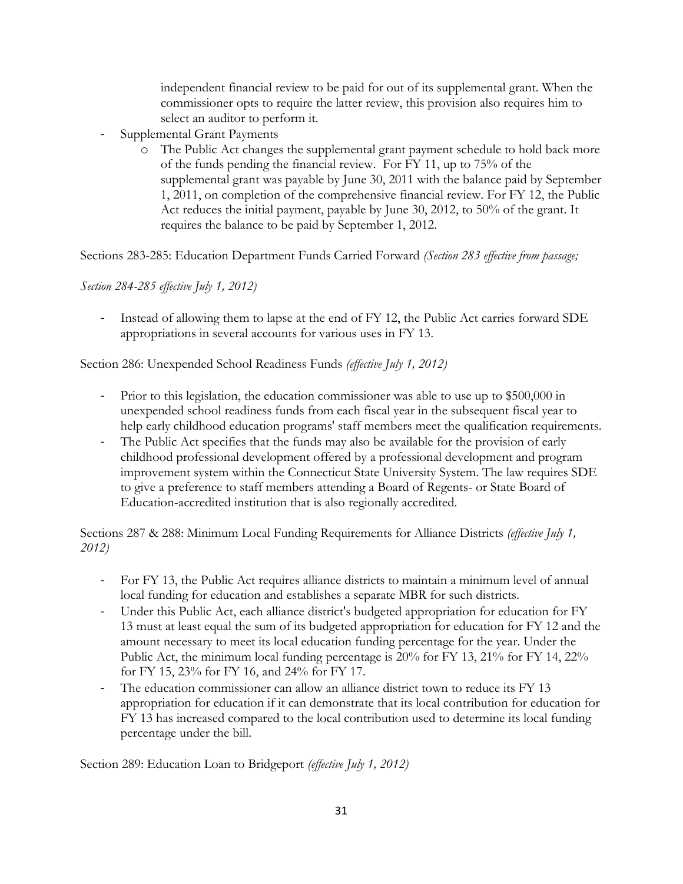independent financial review to be paid for out of its supplemental grant. When the commissioner opts to require the latter review, this provision also requires him to select an auditor to perform it.

- Supplemental Grant Payments
	- o The Public Act changes the supplemental grant payment schedule to hold back more of the funds pending the financial review. For FY 11, up to 75% of the supplemental grant was payable by June 30, 2011 with the balance paid by September 1, 2011, on completion of the comprehensive financial review. For FY 12, the Public Act reduces the initial payment, payable by June 30, 2012, to 50% of the grant. It requires the balance to be paid by September 1, 2012.

Sections 283-285: Education Department Funds Carried Forward *(Section 283 effective from passage;* 

## *Section 284-285 effective July 1, 2012)*

Instead of allowing them to lapse at the end of FY 12, the Public Act carries forward SDE appropriations in several accounts for various uses in FY 13.

Section 286: Unexpended School Readiness Funds *(effective July 1, 2012)*

- Prior to this legislation, the education commissioner was able to use up to \$500,000 in unexpended school readiness funds from each fiscal year in the subsequent fiscal year to help early childhood education programs' staff members meet the qualification requirements.
- The Public Act specifies that the funds may also be available for the provision of early childhood professional development offered by a professional development and program improvement system within the Connecticut State University System. The law requires SDE to give a preference to staff members attending a Board of Regents- or State Board of Education-accredited institution that is also regionally accredited.

Sections 287 & 288: Minimum Local Funding Requirements for Alliance Districts *(effective July 1, 2012)*

- For FY 13, the Public Act requires alliance districts to maintain a minimum level of annual local funding for education and establishes a separate MBR for such districts.
- Under this Public Act, each alliance district's budgeted appropriation for education for FY 13 must at least equal the sum of its budgeted appropriation for education for FY 12 and the amount necessary to meet its local education funding percentage for the year. Under the Public Act, the minimum local funding percentage is 20% for FY 13, 21% for FY 14, 22% for FY 15, 23% for FY 16, and 24% for FY 17.
- The education commissioner can allow an alliance district town to reduce its FY 13 appropriation for education if it can demonstrate that its local contribution for education for FY 13 has increased compared to the local contribution used to determine its local funding percentage under the bill.

Section 289: Education Loan to Bridgeport *(effective July 1, 2012)*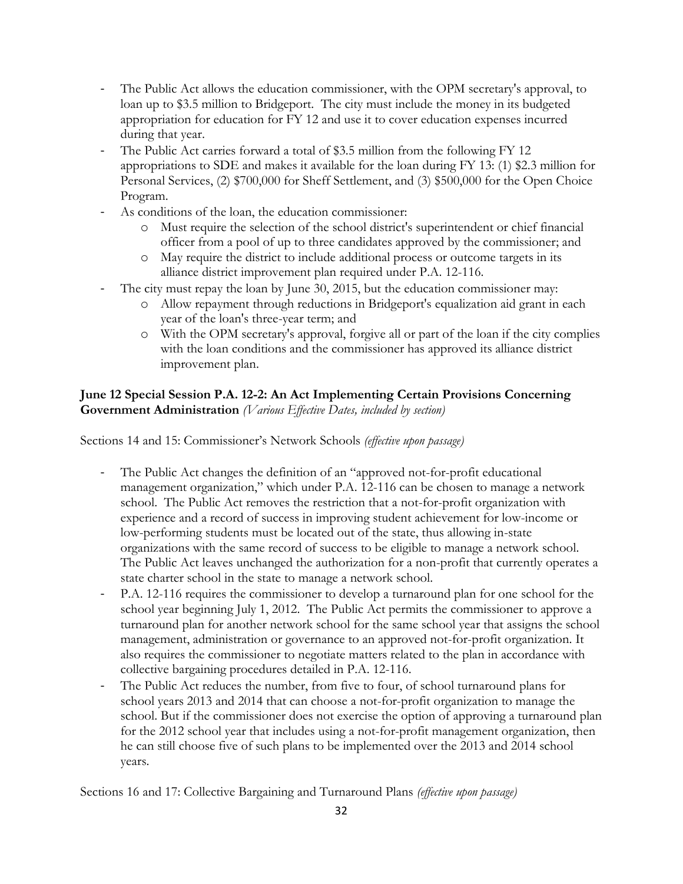- The Public Act allows the education commissioner, with the OPM secretary's approval, to loan up to \$3.5 million to Bridgeport. The city must include the money in its budgeted appropriation for education for FY 12 and use it to cover education expenses incurred during that year.
- The Public Act carries forward a total of \$3.5 million from the following FY 12 appropriations to SDE and makes it available for the loan during FY 13: (1) \$2.3 million for Personal Services, (2) \$700,000 for Sheff Settlement, and (3) \$500,000 for the Open Choice Program.
- As conditions of the loan, the education commissioner:
	- o Must require the selection of the school district's superintendent or chief financial officer from a pool of up to three candidates approved by the commissioner; and
	- o May require the district to include additional process or outcome targets in its alliance district improvement plan required under P.A. 12-116.
- The city must repay the loan by June 30, 2015, but the education commissioner may:
	- o Allow repayment through reductions in Bridgeport's equalization aid grant in each year of the loan's three-year term; and
	- o With the OPM secretary's approval, forgive all or part of the loan if the city complies with the loan conditions and the commissioner has approved its alliance district improvement plan.

## **June 12 Special Session P.A. 12-2: An Act Implementing Certain Provisions Concerning Government Administration** *(Various Effective Dates, included by section)*

Sections 14 and 15: Commissioner's Network Schools *(effective upon passage)*

- The Public Act changes the definition of an "approved not-for-profit educational management organization," which under P.A. 12-116 can be chosen to manage a network school. The Public Act removes the restriction that a not-for-profit organization with experience and a record of success in improving student achievement for low-income or low-performing students must be located out of the state, thus allowing in-state organizations with the same record of success to be eligible to manage a network school. The Public Act leaves unchanged the authorization for a non-profit that currently operates a state charter school in the state to manage a network school.
- P.A. 12-116 requires the commissioner to develop a turnaround plan for one school for the school year beginning July 1, 2012. The Public Act permits the commissioner to approve a turnaround plan for another network school for the same school year that assigns the school management, administration or governance to an approved not-for-profit organization. It also requires the commissioner to negotiate matters related to the plan in accordance with collective bargaining procedures detailed in P.A. 12-116.
- The Public Act reduces the number, from five to four, of school turnaround plans for school years 2013 and 2014 that can choose a not-for-profit organization to manage the school. But if the commissioner does not exercise the option of approving a turnaround plan for the 2012 school year that includes using a not-for-profit management organization, then he can still choose five of such plans to be implemented over the 2013 and 2014 school years.

Sections 16 and 17: Collective Bargaining and Turnaround Plans *(effective upon passage)*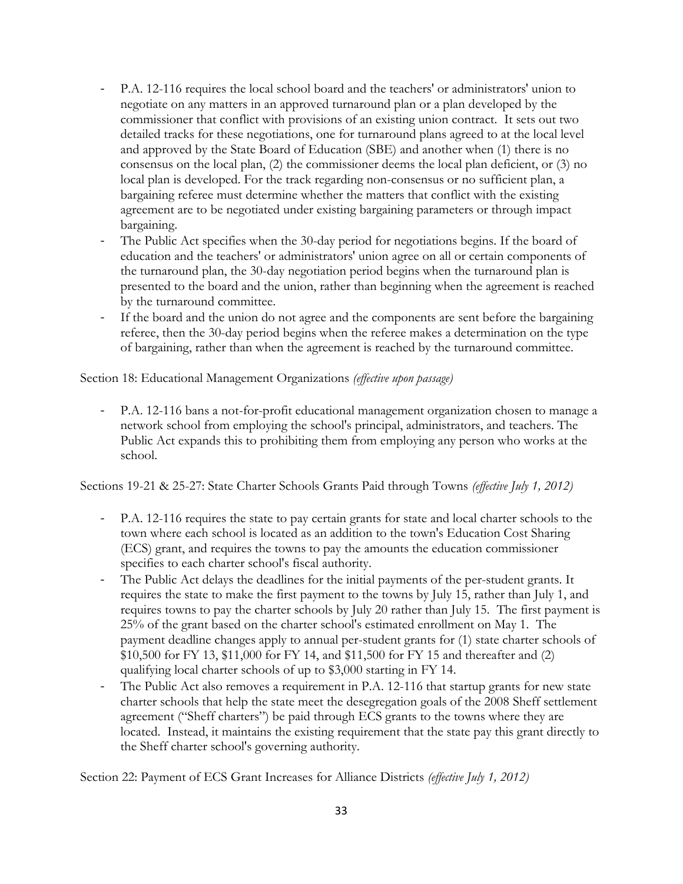- P.A. 12-116 requires the local school board and the teachers' or administrators' union to negotiate on any matters in an approved turnaround plan or a plan developed by the commissioner that conflict with provisions of an existing union contract. It sets out two detailed tracks for these negotiations, one for turnaround plans agreed to at the local level and approved by the State Board of Education (SBE) and another when (1) there is no consensus on the local plan, (2) the commissioner deems the local plan deficient, or (3) no local plan is developed. For the track regarding non-consensus or no sufficient plan, a bargaining referee must determine whether the matters that conflict with the existing agreement are to be negotiated under existing bargaining parameters or through impact bargaining.
- The Public Act specifies when the 30-day period for negotiations begins. If the board of education and the teachers' or administrators' union agree on all or certain components of the turnaround plan, the 30-day negotiation period begins when the turnaround plan is presented to the board and the union, rather than beginning when the agreement is reached by the turnaround committee.
- If the board and the union do not agree and the components are sent before the bargaining referee, then the 30-day period begins when the referee makes a determination on the type of bargaining, rather than when the agreement is reached by the turnaround committee.

Section 18: Educational Management Organizations *(effective upon passage)*

- P.A. 12-116 bans a not-for-profit educational management organization chosen to manage a network school from employing the school's principal, administrators, and teachers. The Public Act expands this to prohibiting them from employing any person who works at the school.

Sections 19-21 & 25-27: State Charter Schools Grants Paid through Towns *(effective July 1, 2012)*

- P.A. 12-116 requires the state to pay certain grants for state and local charter schools to the town where each school is located as an addition to the town's Education Cost Sharing (ECS) grant, and requires the towns to pay the amounts the education commissioner specifies to each charter school's fiscal authority.
- The Public Act delays the deadlines for the initial payments of the per-student grants. It requires the state to make the first payment to the towns by July 15, rather than July 1, and requires towns to pay the charter schools by July 20 rather than July 15. The first payment is 25% of the grant based on the charter school's estimated enrollment on May 1. The payment deadline changes apply to annual per-student grants for (1) state charter schools of \$10,500 for FY 13, \$11,000 for FY 14, and \$11,500 for FY 15 and thereafter and (2) qualifying local charter schools of up to \$3,000 starting in FY 14.
- The Public Act also removes a requirement in P.A. 12-116 that startup grants for new state charter schools that help the state meet the desegregation goals of the 2008 Sheff settlement agreement ("Sheff charters") be paid through ECS grants to the towns where they are located. Instead, it maintains the existing requirement that the state pay this grant directly to the Sheff charter school's governing authority.

Section 22: Payment of ECS Grant Increases for Alliance Districts *(effective July 1, 2012)*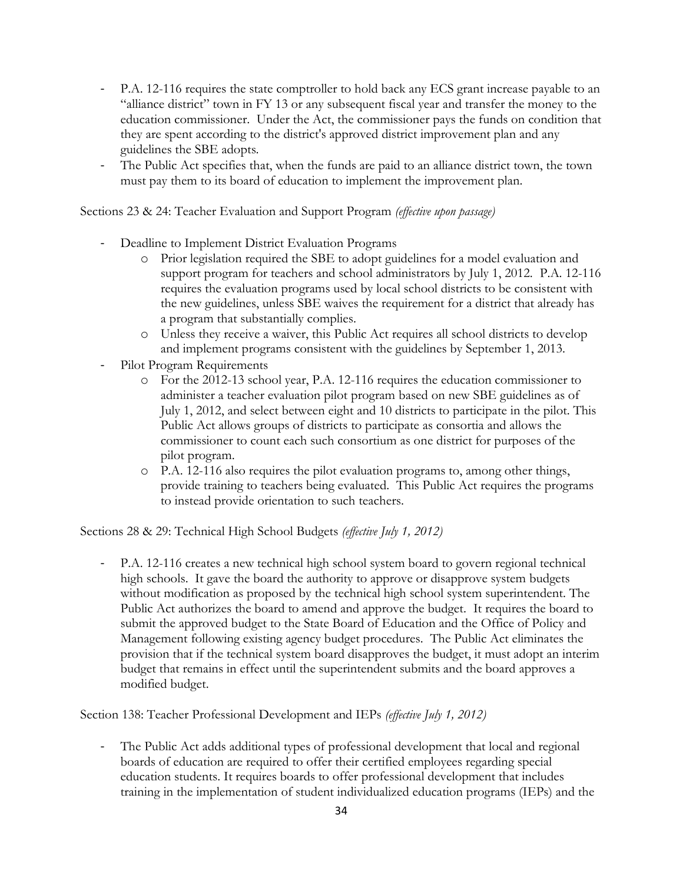- P.A. 12-116 requires the state comptroller to hold back any ECS grant increase payable to an "alliance district" town in FY 13 or any subsequent fiscal year and transfer the money to the education commissioner. Under the Act, the commissioner pays the funds on condition that they are spent according to the district's approved district improvement plan and any guidelines the SBE adopts.
- The Public Act specifies that, when the funds are paid to an alliance district town, the town must pay them to its board of education to implement the improvement plan.

Sections 23 & 24: Teacher Evaluation and Support Program *(effective upon passage)*

- Deadline to Implement District Evaluation Programs
	- o Prior legislation required the SBE to adopt guidelines for a model evaluation and support program for teachers and school administrators by July 1, 2012. P.A. 12-116 requires the evaluation programs used by local school districts to be consistent with the new guidelines, unless SBE waives the requirement for a district that already has a program that substantially complies.
	- o Unless they receive a waiver, this Public Act requires all school districts to develop and implement programs consistent with the guidelines by September 1, 2013.
- Pilot Program Requirements
	- o For the 2012-13 school year, P.A. 12-116 requires the education commissioner to administer a teacher evaluation pilot program based on new SBE guidelines as of July 1, 2012, and select between eight and 10 districts to participate in the pilot. This Public Act allows groups of districts to participate as consortia and allows the commissioner to count each such consortium as one district for purposes of the pilot program.
	- o P.A. 12-116 also requires the pilot evaluation programs to, among other things, provide training to teachers being evaluated. This Public Act requires the programs to instead provide orientation to such teachers.

Sections 28 & 29: Technical High School Budgets *(effective July 1, 2012)*

P.A. 12-116 creates a new technical high school system board to govern regional technical high schools. It gave the board the authority to approve or disapprove system budgets without modification as proposed by the technical high school system superintendent. The Public Act authorizes the board to amend and approve the budget. It requires the board to submit the approved budget to the State Board of Education and the Office of Policy and Management following existing agency budget procedures. The Public Act eliminates the provision that if the technical system board disapproves the budget, it must adopt an interim budget that remains in effect until the superintendent submits and the board approves a modified budget.

Section 138: Teacher Professional Development and IEPs *(effective July 1, 2012)*

- The Public Act adds additional types of professional development that local and regional boards of education are required to offer their certified employees regarding special education students. It requires boards to offer professional development that includes training in the implementation of student individualized education programs (IEPs) and the